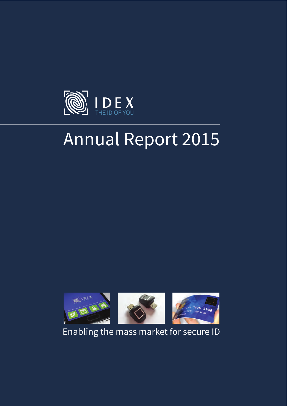

# Annual Report 2015



Enabling the mass market for secure ID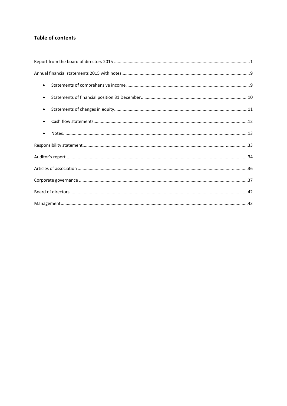# **Table of contents**

| $\bullet$ |  |
|-----------|--|
| $\bullet$ |  |
| $\bullet$ |  |
| $\bullet$ |  |
|           |  |
|           |  |
|           |  |
|           |  |
|           |  |
|           |  |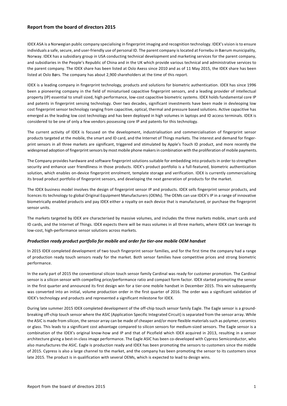# **Report from the board of directors 2015**

IDEX ASA is a Norwegian public company specialising in fingerprint imaging and recognition technology. IDEX's vision is to ensure individuals a safe, secure, and user-friendly use of personal ID. The parent company is located at Fornebu in Bærum municipality, Norway. IDEX has a subsidiary group in USA conducting technical development and marketing services for the parent company, and subsidiaries in the People's Republic of China and in the UK which provide various technical and administrative services to the parent company. The IDEX share has been listed at Oslo Axess since 2010 and as of 11 May 2015, the IDEX share has been listed at Oslo Børs. The company has about 2,900 shareholders at the time of this report.

IDEX is a leading company in fingerprint technology, products and solutions for biometric authentication. IDEX has since 1996 been a pioneering company in the field of miniaturised capacitive fingerprint sensors, and a leading provider of intellectual property (IP) essential to small sized, high performance, low-cost capacitive biometric systems. IDEX holds fundamental core IP and patents in fingerprint sensing technology. Over two decades, significant investments have been made in devleoping low cost fingerprint sensor technology ranging from capacitive, optical, thermal and pressure based solutions. Active capacitive has emerged as the leading low cost technology and has been deployed in high volumes in laptops and ID access terminals. IDEX is considered to be one of only a few vendors possessing core IP and patents for this technology.

The current activity of IDEX is focused on the development, industrialisation and commercialisation of fingerprint sensor products targeted at the mobile, the smart and ID card, and the Internet of Things markets. The interest and demand for fingerprint sensors in all three markets are significant, triggered and stimulated by Apple's Touch ID product, and more recently the widespread adoption of fingerprint sensors by most mobile phone makers in combination with the proliferation of mobile payments.

The Company provides hardware and software fingerprint solutions suitable for embedding into products in order to strengthen security and enhance user friendliness in those products. IDEX's product portfolio is a full-featured, biometric authentication solution, which enables on-device fingerprint enrolment, template storage and verification. IDEX is currently commercialising its broad product portfolio of fingerprint sensors, and developing the next generation of products for the market.

The IDEX business model involves the design of fingerprint sensor IP and products. IDEX sells fingerprint sensor products, and licences its technology to global Original Equipment Manufacturers (OEMs). The OEMs can use IDEX's IP in a range of innovative biometrically enabled products and pay IDEX either a royalty on each device that is manufactured, or purchase the fingerprint sensor units.

The markets targeted by IDEX are characterised by massive volumes, and includes the three markets mobile, smart cards and ID cards, and the Internet of Things. IDEX expects there will be mass volumes in all three markets, where IDEX can leverage its low-cost, high-performance sensor solutions across markets.

# *Production ready product portfolio for mobile and order for tier‐one mobile OEM handset*

In 2015 IDEX completed development of two touch fingerprint sensor families, and for the first time the company had a range of production ready touch sensors ready for the market. Both sensor families have competitive prices and strong biometric performance.

In the early part of 2015 the conventional silicon touch sensor family Cardinal was ready for customer promotion. The Cardinal sensor is a silicon sensor with compelling price/performance ratio and compact form factor. IDEX started promoting the sensor in the first quarter and announced its first design win for a tier-one mobile handset in December 2015. This win subsequently was converted into an initial, volume production order in the first quarter of 2016. The order was a significant validation of IDEX's technology and products and represented a significant milestone for IDEX.

During late summer 2015 IDEX completed development of the off-chip touch sensor family Eagle. The Eagle sensor is a groundbreaking off-chip touch sensor where the ASIC (Application Specific Integrated Circuit) is separated from the sensor array. While the ASIC is made from silicon, the sensor array can be made of cheaper and/or more flexible materials such as polymer, ceramics or glass. This leads to a significant cost advantage compared to silicon sensors for medium-sized sensors. The Eagle sensor is a combination of the IDEX's original know-how and IP and that of Picofield which IDEX acquired in 2013, resulting in a sensor architecture giving a best-in-class image performance. The Eagle ASIC has been co-developed with Cypress Semiconductor, who also manufactures the ASIC. Eagle is production ready and IDEX has been promoting the sensors to customers since the middle of 2015. Cypress is also a large channel to the market, and the company has been promoting the sensor to its customers since late 2015. The product is in qualification with several OEMs, which is expected to lead to design wins.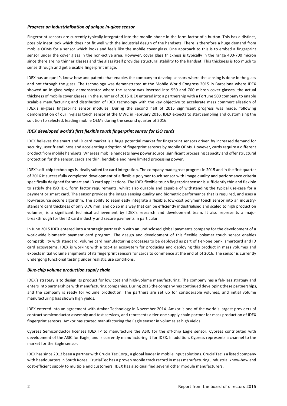#### *Progress on industrialisation of unique in‐glass sensor*

Fingerprint sensors are currently typically integrated into the mobile phone in the form factor of a button. This has a distinct, possibly inept look which does not fit well with the industrial design of the handsets. There is therefore a huge demand from mobile OEMs for a sensor which looks and feels like the mobile cover glass. One approach to this is to embed a fingerprint sensor under the cover glass in the non-active area. However, cover glass thickness is typically in the range 400-700 micron since there are no thinner glasses and the glass itself provides structural stability to the handset. This thickness is too much to sense through and get a usable fingerprint image.

IDEX has unique IP, know-how and patents that enables the company to develop sensors where the sensing is done in the glass and not through the glass. The technology was demonstrated at the Mobile World Congress 2015 in Barcelona where IDEX showed an in-glass swipe demonstrator where the sensor was inserted into 550 and 700 micron cover glasses, the actual thickness of mobile cover glasses. In the summer of 2015 IDEX entered into a partnership with a Fortune 500 company to enable scalable manufacturing and distribution of IDEX technology with the key objective to accelerate mass commercialisation of IDEX's in-glass fingerprint sensor modules. During the second half of 2015 significant progress was made, following demonstration of our in-glass touch sensor at the MWC in February 2016. IDEX expects to start sampling and customising the solution to selected, leading mobile OEMs during the second quarter of 2016.

# *IDEX developed world's first flexible touch fingerprint sensor for ISO cards*

IDEX believes the smart and ID card market is a huge potential market for fingerprint sensors driven by increased demand for security, user friendliness and accelerating adoption of fingerprint sensors by mobile OEMs. However, cards require a different product from mobile handsets. Whereas mobile handsets have power source, significant processing capacity and offer structural protection for the sensor, cards are thin, bendable and have limited processing power.

IDEX's off-chip technology is ideally suited for card integration. The company made great progress in 2015 and in the first quarter of 2016 it successfully completed development of a flexible polymer touch sensor with image quality and performance criteria specifically designed for smart and ID card applications. The IDEX flexible touch fingerprint sensor is sufficiently thin and flexible to satisfy the ISO ID-1 form factor requirements, whilst also durable and capable of withstanding the typical use-case for a payment or smart card. The sensor provides the image sensing quality and biometric performance that is required, and uses a low-resource secure algorithm. The ability to seamlessly integrate a flexible, low-cost polymer touch sensor into an industrystandard card thickness of only 0.76 mm, and do so in a way that can be efficiently industrialised and scaled to high production volumes, is a significant technical achievement by IDEX's research and development team. It also represents a major breakthrough for the ID card industry and secure payments in particular.

In June 2015 IDEX entered into a strategic partnership with an undisclosed global payments company for the development of a worldwide biometric payment card program. The design and development of this flexible polymer touch sensor enables compatibility with standard, volume card manufacturing processes to be deployed as part of tier-one bank, smartcard and ID card ecosystems. IDEX is working with a top-tier ecosystem for producing and deploying this product in mass volumes and expects initial volume shipments of its fingerprint sensors for cards to commence at the end of of 2016. The sensor is currently undergong functional testing under realistic use conditions.

#### *Blue‐chip volume production supply chain*

IDEX's strategy is to design its product for low cost and high-volume manufacturing. The company has a fab-less strategy and enters into partnerships with manufacturing companies. During 2015 the company has continued developing these partnerships, and the company is ready for volume production. The partners are set up for considerable volumes, and initial volume manufacturing has shown high yields.

IDEX entered into an agreement with Amkor Technology in November 2014. Amkor is one of the world's largest providers of contract semiconductor assembly and test services, and represents a tier-one supply chain partner for mass production of IDEX fingerprint sensors. Amkor has started manufacturing the Eagle sensor in volumes at high yields

Cypress Semiconductor licenses IDEX IP to manufacture the ASIC for the off-chip Eagle sensor. Cypress contributed with development of the ASIC for Eagle, and is currently manufacturing it for IDEX. In addition, Cypress represents a channel to the market for the Eagle sensor.

IDEX has since 2013 been a partner with CrucialTec Corp., a global leader in mobile inputsolutions. CrucialTec is a listed company with headquarters in South Korea. CrucialTec has a proven mobile track record in mass manufacturing, industrial know-how and cost-efficient supply to multiple end customers. IDEX has also qualified several other module manufacturers.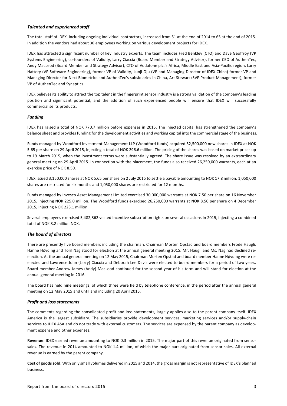#### *Talented and experienced staff*

The total staff of IDEX, including ongoing individual contractors, increased from 51 at the end of 2014 to 65 at the end of 2015. In addition the vendors had about 30 employees working on various development projects for IDEX.

IDEX has attracted a significant number of key industry experts. The team includes Fred Benkley (CTO) and Dave Geoffroy (VP Systems Engineering), co-founders of Validity, Larry Ciaccia (Board Member and Strategy Advisor), former CEO of AuthenTec, Andy MacLeod (Board Member and Strategy Advisor), CTO of Vodafone plc.'s Africa, Middle East and Asia-Pacific region, Larry Hattery (VP Software Engineering), former VP of Validity, Lunji Qiu (VP and Managing Director of IDEX China) former VP and Managing Director for Next Biometrics and AuthenTec's subsidiaries in China, Art Stewart (SVP Product Management), former VP of AuthenTec and Synaptics.

IDEX believes its ability to attract the top talent in the fingerprint sensor industry is a strong validation of the company's leading position and significant potential, and the addition of such experienced people will ensure that IDEX will successfully commercialise its products.

# *Funding*

IDEX has raised a total of NOK 770.7 million before expenses in 2015. The injected capital has strengthened the company's balance sheet and provides funding for the development activities and working capital into the commercial stage of the business.

Funds managed by Woodford Investment Management LLP (Woodford funds) acquired 52,500,000 new shares in IDEX at NOK 5.65 per share on 29 April 2015, injecting a total of NOK 296.6 million. The pricing of the shares was based on market prices up to 19 March 2015, when the investment terms were substantially agreed. The share issue was resolved by an extraordinary general meeting on 29 April 2015. In connection with the placement, the funds also received 26,250,000 warrants, each at an exercise price of NOK 8.50.

IDEX issued 3,150,000 shares at NOK 5.65 per share on 2 July 2015 to settle a payable amounting to NOK 17.8 million. 1,050,000 shares are restricted for six months and 1,050,000 shares are restricted for 12 months.

Funds managed by Invesco Asset Management Limited exercised 30,000,000 warrants at NOK 7.50 per share on 16 November 2015, injecting NOK 225.0 million. The Woodford funds exercised 26,250,000 warrants at NOK 8.50 per share on 4 December 2015, injecting NOK 223.1 million.

Several employees exercised 5,482,862 vested incentive subscription rights on several occasions in 2015, injecting a combined total of NOK 8.2 million NOK.

# *The board of directors*

There are presently five board members including the chairman. Chairman Morten Opstad and board members Frode Haugli, Hanne Høvding and Toril Nag stood for election at the annual general meeting 2015. Mr. Haugli and Ms. Nag had declined reelection. At the annual general meeting on 12 May 2015, Chairman Morten Opstad and board member Hanne Høvding were reelected and Lawrence John (Larry) Ciaccia and Deborah Lee Davis were elected to board members for a period of two years. Board member Andrew James (Andy) MacLeod continued for the second year of his term and will stand for election at the annual general meeting in 2016.

The board has held nine meetings, of which three were held by telephone conference, in the period after the annual general meeting on 12 May 2015 and until and including 20 April 2015.

#### *Profit and loss statements*

The comments regarding the consolidated profit and loss statements, largely applies also to the parent company itself. IDEX America is the largest subsidiary. The subsidiaries provide development services, marketing services and/or supply-chain services to IDEX ASA and do not trade with external customers. The services are expensed by the parent company as development expense and other expenses.

**Revenue**: IDEX earned revenue amounting to NOK 0.3 million in 2015. The major part of this revenue originated from sensor sales. The revenue in 2014 amounted to NOK 1.4 million, of which the major part originated from sensor sales. All external revenue is earned by the parent company.

**Cost of goodssold**: With only small volumes delivered in 2015 and 2014, the gross margin is not representative of IDEX's planned business.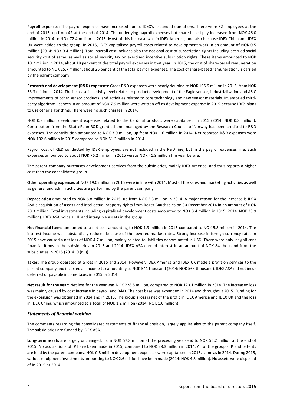**Payroll expenses**: The payroll expenses have increased due to IDEX's expanded operations. There were 52 employees at the end of 2015, up from 42 at the end of 2014. The underlying payroll expenses but share-based pay increased from NOK 46.0 million in 2014 to NOK 72.4 million in 2015. Most of this increase was in IDEX America, and also because IDEX China and IDEX UK were added to the group. In 2015, IDEX capitalised payroll costs related to development work in an amount of NOK 0.5 million (2014: NOK 0.4 million). Total payroll cost includes also the notional cost of subscription rights including accrued social security cost of same, as well as social security tax on exercised incentive subscription rights. These items amounted to NOK 10.2 million in 2014, about 18 per cent of the total payroll expenses in that year. In 2015, the cost of share-based remuneration amounted to NOK 25.7 million, about 26 per cent of the total payroll expenses. The cost of share-based remuneration, is carried by the parent company.

**Research and development (R&D) expenses**: Gross R&D expenses were nearly doubled to NOK 105.9 million in 2015, from NOK 53.3 million in 2014. The increase in activity level relates to product development of the Eagle sensor, industrialisation and ASIC improvements of other sensor products, and activities related to core technology and new sensor materials. Inventoried thirdparty algorithm licences in an amount of NOK 7.9 million were written off as development expense in 2015 because IDEX plans to use other algorithms. There were no such charges in 2014.

NOK 0.3 million development expenses related to the Cardinal product, were capitalised in 2015 (2014: NOK 0.3 million). Contribution from the SkatteFunn R&D grant scheme managed by the Research Council of Norway has been credited to R&D expenses. The contribution amounted to NOK 3.0 million, up from NOK 1.6 million in 2014. Net reported R&D expenses were NOK 102.6 million in 2015 compared to NOK 51.3 million in 2014.

Payroll cost of R&D conducted by IDEX employees are not included in the R&D line, but in the payroll expenses line. Such expenses amounted to about NOK 76.2 million in 2015 versus NOK 41.9 million the year before.

The parent company purchases development services from the subsidiaries, mainly IDEX America, and thus reports a higher cost than the consolidated group.

**Other operating expenses** at NOK 19.0 million in 2015 were in line with 2014. Most of the sales and marketing activities as well as general and admin activities are performed by the parent company.

**Depreciation** amounted to NOK 6.8 million in 2015, up from NOK 2.3 million in 2014. A major reason for the increase is IDEX ASA's acquisition of assets and intellectual property rights from Roger Bauchspies on 30 December 2014 in an amount of NOK 28.3 million. Total investments including capitalised development costs amounted to NOK 3.4 million in 2015 (2014: NOK 33.9 million). IDEX ASA holds all IP and intangible assets in the group.

**Net financial items** amounted to a net cost amounting to NOK 1.9 million in 2015 compared to NOK 5.8 million in 2014. The interest income was substantially reduced because of the lowered market rates. Strong increase in foreign currency rates in 2015 have caused a net loss of NOK 4.7 million, mainly related to liabilities denominated in USD. There were only insignificant financial items in the subsidiaries in 2015 and 2014. IDEX ASA earned interest in an amount of NOK 84 thousand from the subsidiaries in 2015 (2014: 0 (nil)).

**Taxes**: The group operated at a loss in 2015 and 2014. However, IDEX America and IDEX UK made a profit on services to the parent company and incurred an income tax amounting to NOK 541 thousand (2014: NOK 563 thousand). IDEX ASA did not incur deferred or payable income taxes in 2015 or 2014.

**Net result for the year**: Net loss for the year was NOK 228.8 million, compared to NOK 123.1 million in 2014. The increased loss was mainly caused by cost increase in payroll and R&D. The cost base was expanded in 2014 and throughout 2015. Funding for the expansion was obtained in 2014 and in 2015. The group's loss is net of the profit in IDEX America and IDEX UK and the loss in IDEX China, which amounted to a total of NOK 1.2 million (2014: NOK 1.0 million).

#### *Statements of financial position*

The comments regarding the consolidated statements of financial position, largely applies also to the parent company itself. The subsidiaries are funded by IDEX ASA.

Long-term assets are largely unchanged, from NOK 57.8 million at the preceding year-end to NOK 55.2 million at the end of 2015. No acquisitions of IP have been made in 2015, compared to NOK 28.3 million in 2014. All of the group's IP and patents are held by the parent company. NOK 0.8 million development expenses were capitalised in 2015, same as in 2014. During 2015, various equipment investments amounting to NOK 2.6 million have been made (2014: NOK 4.8 million). No assets were disposed of in 2015 or 2014.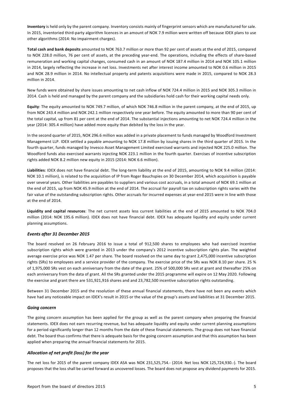**Inventory** is held only by the parent company. Inventory consists mainly of fingerprint sensors which are manufactured for sale. In 2015, inventoried third-party algorithm licences in an amount of NOK 7.9 million were written off because IDEX plans to use other algorithms (2014: No impairment charges).

**Total cash and bank deposits** amounted to NOK 763.7 million or more than 92 per cent of assets at the end of 2015, compared to NOK 228.0 million, 76 per cent of assets, at the preceding year-end. The operations, including the effects of share-based remuneration and working capital changes, consumed cash in an amount of NOK 187.4 million in 2014 and NOK 105.1 million in 2014, largely reflecting the increase in net loss. Investments net after interest income amounted to NOK 0.6 million in 2015 and NOK 28.9 million in 2014. No intellectual property and patents acquisitions were made in 2015, compared to NOK 28.3 million in 2014.

New funds were obtained by share issues amounting to net cash inflow of NOK 724.4 million in 2015 and NOK 305.3 million in 2014. Cash is held and managed by the parent company and the subsidiaries hold cash for their working capital needs only.

**Equity**: The equity amounted to NOK 749.7 million, of which NOK 746.8 million in the parent company, at the end of 2015, up from NOK 243.4 million and NOK 242.1 million respectively one year before. The equity amounted to more than 90 per cent of the total capital, up from 81 per cent at the end of 2014. The substantial injections amounting to net NOK 724.4 million in the year (2014: 305.4 million) have added more equity than debited by the loss in the year.

In the second quarter of 2015, NOK 296.6 million was added in a private placement to funds managed by Woodford Investment Management LLP. IDEX settled a payable amounting to NOK 17.8 million by issuing shares in the third quarter of 2015. In the fourth quarter, funds managed by Invesco Asset Management Limited exercised warrants and injected NOK 225.0 million. The Woodford funds also exercised warrants injecting NOK 223.1 million in the fourth quarter. Exercises of incentive subscription rights added NOK 8.2 million new equity in 2015 (2014: NOK 6.6 million).

Liabilities: IDEX does not have financial debt. The long-term liability at the end of 2015, amounting to NOK 9.4 million (2014: NOK 10.1 million), is related to the acquisition of IP from Roger Bauchspies on 30 December 2014, which acquisition is payable over several years. Other liabilities are payables to suppliers and various cost accruals, in a total amount of NOK 69.1 million at the end of 2015, up from NOK 45.9 million at the end of 2014. The accrual for payroll tax on subscription rights varies with the fair value of the outstanding subscription rights. Other accruals for incurred expenses at year-end 2015 were in line with those at the end of 2014.

**Liquidity and capital resources**: The net current assets less current liabilities at the end of 2015 amounted to NOK 704.0 million (2014: NOK 195.6 million). IDEX does not have financial debt. IDEX has adequate liquidity and equity under current planning assumptions.

#### *Events after 31 December 2015*

The board resolved on 26 February 2016 to issue a total of 912,500 shares to employees who had exercised incentive subscription rights which were granted in 2013 under the company's 2012 incentive subscription rights plan. The weighted average exercise price was NOK 1.47 per share. The board resolved on the same day to grant 2,475,000 incentive subscription rights (SRs) to employees and a service provider of the company. The exercise price of the SRs was NOK 8.10 per share. 25 % of 1,975,000 SRs vest on each anniversary from the date of the grant. 25% of 500,000 SRs vest at grant and thereafter 25% on each anniversary from the data of grant. All the SRs granted under the 2015 programme will expire on 12 May 2020. Following the exercise and grant there are 531,921,916 shares and and 23,782,500 incentive subscription rights outstanding.

Between 31 December 2015 and the resolution of these annual financial statements, there have not been any events which have had any noticeable impact on IDEX's result in 2015 or the value of the group's assets and liabilities at 31 December 2015.

#### *Going concern*

The going concern assumption has been applied for the group as well as the parent company when preparing the financial statements. IDEX does not earn recurring revenue, but has adequate liquidity and equity under current planning assumptions for a period significantly longer than 12 months from the date of these financial statements. The group does not have financial debt. The board thus confirms that there is adequate basis for the going concern assumption and that this assumption has been applied when preparing the annual financial statements for 2015.

#### *Allocation of net profit (loss) for the year*

The net loss for 2015 of the parent company IDEX ASA was NOK 231,525,754.- (2014: Net loss NOK 125,724,930.-). The board proposes that the loss shall be carried forward as uncovered losses. The board does not propose any dividend payments for 2015.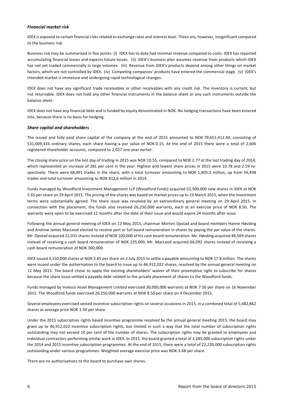#### *Financial market risk*

IDEX is exposed to certain financial risks related to exchange rates and interest level. These are, however, insignificant compared to the business risk.

Business risk may be summarised in five points: (i) IDEX has to date had minimal revenue compared to costs. IDEX has reported accumulating financial losses and expects future losses. (ii) IDEX's business plan assumes revenue from products which IDEX has not yet traded commercially in large volumes. (iii) Revenue from IDEX's products depend among other things on market factors, which are not controlled by IDEX. (iv) Competing companies' products have entered the commercial stage. (v) IDEX's intended market is immature and undergoing rapid technological changes.

IDEX does not have any significant trade receivables or other receivables with any credit risk. The inventory is current, but not returnable. IDEX does not hold any other financial instruments in the balance sheet or any such instruments outside the balance sheet.

IDEX does not have any financial debt and is funded by equity denominated in NOK. No hedging transactions have been entered into, because there is no basis for hedging.

#### *Share capital and shareholders*

The issued and fully paid share capital of the company at the end of 2015 amounted to NOK 79,651,412.40, consisting of 531,009,416 ordinary shares, each share having a par value of NOK 0.15. At the end of 2015 there were a total of 2,606 registered shareholder accounts, compared to 2,027 one year earlier.

The closing share price on the last day of trading in 2015 was NOK 10.55, compared to NOK 2.77 at the last trading day of 2014, which represented an increase of 281 per cent in the year. Highest and lowest share prices in 2015 were 10.78 and 2.59 respectively. There were 68,891 trades in the share, with a total turnover amounting to NOK 1,905.2 million, up from 56,438 trades and total turnover amounting to NOK 812,6 million in 2014.

Funds managed by Woodford Investment Management LLP (Woodford funds) acquired 52,500,000 new shares in IDEX at NOK 5.65 per share on 29 April 2015. The pricing of the shares was based on market prices up to 19 March 2015, when the investment terms were substantially agreed. The share issue was resolved by an extraordinary general meeting on 29 April 2015. In connection with the placement, the funds also received 26,250,000 warrants, each at an exercise price of NOK 8.50. The warrants were open to be exercised 12 months after the date of their issue and would expire 24 months after issue.

Following the annual general meeting of IDEX on 12 May 2015, chairman Morten Opstad and board members Hanne Høvding and Andrew James MacLeod elected to receive part or full board remuneration in shares by paying the par value of the shares. Mr. Opstad acquired 22,031 shares instead of NOK 100,000 of his cash board remuneration. Ms. Høvding acquired 49,569 shares instead of receiving a cash board remuneration of NOK 225,000. Mr. MacLeod acquired 66,092 shares instead of receiving a cash board remuneration of NOK 300,000.

IDEX issued 3,150,000 shares at NOK 5.65 per share on 2 July 2015 to settle a payable amounting to NOK 17.8 million. The shares were issued under the authorisation to the board to issue up to 46,912,022 shares, resolved by the annual general meeting on 12 May 2015. The board chose to apply the existing shareholders' waiver of their preemptive right to subscribe for shares because the share issue settled a payable debt related to the private placement of shares to the Woodford funds.

Funds managed by Invesco Asset Management Limited exercised 30,000,000 warrants at NOK 7.50 per share on 16 November 2015. The Woodford funds exercised 26,250,000 warrants at NOK 8.50 per share on 4 December 2015.

Several employees exercised vested incentive subscription rights on several occasions in 2015, in a combined total of 5,482,862 shares at average price NOK 1.50 per share.

Under the 2015 subscription rights based incentive programme resolved by the annual general meeting 2015, the board may grant up to 46,912,022 incentive subscription rights, but limited in such a way that the total number of subscription rights outstanding may not exceed 10 per cent of the number of shares. The subscription rights may be granted to employees and individual contractors performing similar work in IDEX. In 2015, the board granted a total of 2,285,000 subscription rights under the 2014 and 2015 incentive subscription programmes. At the end of 2015, there were a total of 22,220,000 subscription rights outstanding under various programmes. Weighted average exercise price was NOK 3.48 per share.

There are no authorisations to the board to purchase own shares.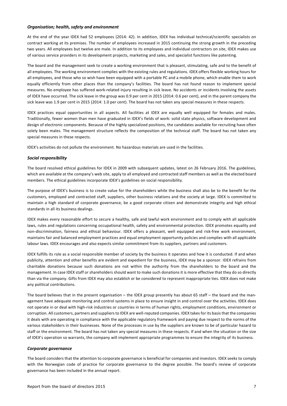#### *Organisation; health, safety and environment*

At the end of the year IDEX had 52 employees (2014: 42). In addition, IDEX has individual technical/scientific specialists on contract working at its premises. The number of employees increased in 2015 continuing the strong growth in the preceding two years. All employees but twelve are male. In addition to its employees and individual contractors on site, IDEX makes use of various service providers in its development projects, marketing and sales, and specialist functions like patenting.

The board and the management seek to create a working environment that is pleasant, stimulating, safe and to the benefit of all employees. The working environment complies with the existing rules and regulations. IDEX offers flexible working hours for all employees, and those who so wish have been equipped with a portable PC and a mobile phone, which enable them to work equally efficiently from other places than the company's facilities. The board has not found reason to implement special measures. No employee has suffered work-related injury resulting in sick leave. No accidents or incidents involving the assets of IDEX have occurred. The sick leave in the group was 0.9 per cent in 2015 (2014: 0.6 per cent), and in the parent company the sick leave was 1.9 per cent in 2015 (2014: 1.0 per cent). The board has not taken any special measures in these respects.

IDEX practices equal opportunities in all aspects. All facilities at IDEX are equally well equipped for females and males. Traditionally, fewer women than men have graduated in IDEX's fields of work: solid state physics, software development and design of electronic components. Because of the highly specialized positions, the candidates available for recruiting have often solely been males. The management structure reflects the composition of the technical staff. The board has not taken any special measures in these respects.

IDEX's activities do not pollute the environment. No hazardous materials are used in the facilities.

#### *Social responsibility*

The board resolved ethical guidelines for IDEX in 2009 with subsequent updates, latest on 26 February 2016. The guidelines, which are available at the company's web site, apply to all employed and contracted staff members as well as the elected board members. The ethical guidelines incorporate IDEX's guidelines on social responsibility.

The purpose of IDEX's business is to create value for the shareholders while the business shall also be to the benefit for the customers, employed and contracted staff, suppliers, other business relations and the society at large. IDEX is committed to maintain a high standard of corporate governance, be a good corporate citizen and demonstrate integrity and high ethical standards in all its business dealings.

IDEX makes every reasonable effort to secure a healthy, safe and lawful work environment and to comply with all applicable laws, rules and regulations concerning occupational health, safety and environmental protection. IDEX promotes equality and non-discrimination, fairness and ethical behaviour. IDEX offers a pleasant, well equipped and risk-free work environment, maintains fair and balanced employment practices and equal employment opportunity policies and complies with all applicable labour laws. IDEX encourages and also expects similar commitment from its suppliers, partners and customers.

IDEX fulfills its role as a social responsible member of society by the business it operates and how it is conducted. If and when publicity, attention and other benefits are evident and expedient for the business, IDEX may be a sponsor. IDEX refrains from charitable donations because such donations are not within the authority from the shareholders to the board and the management. In case IDEX staff or shareholders should want to make such donations it is more effective that they do so directly than via the company. Gifts from IDEX may also establish or be considered to represent inappropriate ties. IDEX does not make any political contributions.

The board believes that in the present organisation – the IDEX group presently has about 65 staff – the board and the management have adequate monitoring and control systems in place to ensure insight in and control over the activities. IDEX does not operate in or deal with high-risk industries or countries in terms of human rights, employment conditions, environment or corruption. All customers, partners and suppliers to IDEX are well-reputed companies. IDEX takes for its basis that the companies it deals with are operating in compliance with the applicable regulatory framework and paying due respect to the norms of the various stakeholders in their businesses. None of the processes in use by the suppliers are known to be of particular hazard to staff or the environment. The board has not taken any special measures in these respects. If and when the situation or the size of IDEX's operation so warrants, the company will implement appropriate programmes to ensure the integrity of its business.

#### *Corporate governance*

The board considers that the attention to corporate governance is beneficial for companies and investors. IDEX seeks to comply with the Norwegian code of practice for corporate governance to the degree possible. The board's review of corporate governance has been included in the annual report.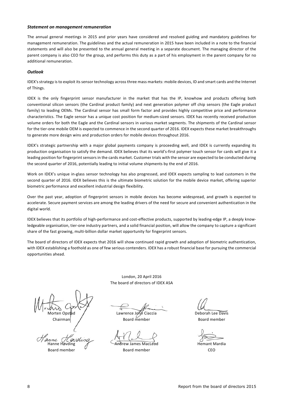#### *Statement on management remuneration*

The annual general meetings in 2015 and prior years have considered and resolved guiding and mandatory guidelines for management remuneration. The guidelines and the actual remuneration in 2015 have been included in a note to the financial statements and will also be presented to the annual general meeting in a separate document. The managing director of the parent company is also CEO for the group, and performs this duty as a part of his employment in the parent company for no additional remuneration.

#### *Outlook*

IDEX's strategy is to exploit its sensor technology across three mass markets: mobile devices, ID and smart cards and the Internet of Things.

IDEX is the only fingerprint sensor manufacturer in the market that has the IP, knowhow and products offering both conventional silicon sensors (the Cardinal product family) and next generation polymer off chip sensors (the Eagle product family) to leading OEMs. The Cardinal sensor has small form factor and provides highly competitive price and performance characteristics. The Eagle sensor has a unique cost position for medium-sized sensors. IDEX has recently received production volume orders for both the Eagle and the Cardinal sensors in various market segments. The shipments of the Cardinal sensor for the tier-one mobile OEM is expected to commence in the second quarter of 2016. IDEX expects these market breakthroughs to generate more design wins and production orders for mobile devices throughout 2016.

IDEX's strategic partnership with a major global payments company is proceeding well, and IDEX is currently expanding its production organisation to satisfy the demand. IDEX believes that its world's-first polymer touch sensor for cards will give it a leading position for fingerprint sensors in the cards market. Customer trials with the sensor are expected to be conducted during the second quarter of 2016, potentially leading to initial volume shipments by the end of 2016.

Work on IDEX's unique in-glass sensor technology has also progressed, and IDEX expects sampling to lead customers in the second quarter of 2016. IDEX believes this is the ultimate biometric solution for the mobile device market, offering superior biometric performance and excellent industrial design flexibility.

Over the past year, adoption of fingerprint sensors in mobile devices has become widespread, and growth is expected to accelerate. Secure payment services are among the leading drivers of the need for secure and convenient authentication in the digital world.

IDEX believes that its portfolio of high-performance and cost-effective products, supported by leading-edge IP, a deeply knowledgeable organisation, tier-one industry partners, and a solid financial position, will allow the company to capture a significant share of the fast growing, multi-billion dollar market opportunity for fingerprint sensors.

The board of directors of IDEX expects that 2016 will show continued rapid growth and adoption of biometric authentication, with IDEX establishing a foothold as one of few serious contenders. IDEX has a robust financial base for pursuing the commercial opportunities ahead.

Morten Opstad  $\sqrt{ }$  Lawrence John Ciaccia Deborah Lee Davis Chairman / Board member Board member

anne Hanne Høvding The Communication of Andrew James MacLeod Hemant Mardia Board member and December Board member and CEO

London, 20 April 2016 The board of directors of IDEX ASA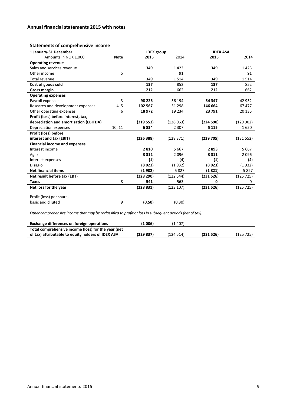# **Annual financial statements 2015 with notes**

# **Statements of comprehensive income**

| 1 January-31 December                  |             | <b>IDEX</b> group |           | <b>IDEX ASA</b> |           |
|----------------------------------------|-------------|-------------------|-----------|-----------------|-----------|
| Amounts in NOK 1,000                   | <b>Note</b> | 2015              | 2014      | 2015            | 2014      |
| <b>Operating revenue</b>               |             |                   |           |                 |           |
| Sales and services revenue             |             | 349               | 1423      | 349             | 1423      |
| Other income                           | 5           |                   | 91        |                 | 91        |
| Total revenue                          |             | 349               | 1514      | 349             | 1514      |
| Cost of goods sold                     |             | 137               | 852       | 137             | 852       |
| <b>Gross margin</b>                    |             | 212               | 662       | 212             | 662       |
| <b>Operating expenses</b>              |             |                   |           |                 |           |
| Payroll expenses                       | 3           | 98 2 2 6          | 56 194    | 54 347          | 42 952    |
| Research and development expenses      | 4, 5        | 102 567           | 51 298    | 146 664         | 67477     |
| Other operating expenses               | 6           | 18972             | 19 2 34   | 23 791          | 20 135    |
| Profit (loss) before interest, tax,    |             |                   |           |                 |           |
| depreciation and amortisation (EBITDA) |             | (219553)          | (126063)  | (224 590)       | (129902)  |
| Depreciation expenses                  | 10, 11      | 6834              | 2 3 0 7   | 5 1 1 5         | 1650      |
| <b>Profit (loss) before</b>            |             |                   |           |                 |           |
| interest and tax (EBIT)                |             | (22638)           | (128371)  | (229 705)       | (131 552) |
| <b>Financial income and expenses</b>   |             |                   |           |                 |           |
| Interest income                        |             | 2810              | 5 6 6 7   | 2893            | 5 6 6 7   |
| Agio                                   |             | 3 3 1 2           | 2096      | 3 3 1 1         | 2096      |
| Interest expenses                      |             | (1)               | (4)       | (1)             | (4)       |
| Disagio                                |             | (8023)            | (1932)    | (8 0 23)        | (1932)    |
| <b>Net financial items</b>             |             | (1902)            | 5827      | (1 821)         | 5827      |
| Net result before tax (EBT)            |             | (228 290)         | (122 544) | (231526)        | (125725)  |
| <b>Taxes</b>                           | 8           | 541               | 563       | $\Omega$        | $\Omega$  |
| Net loss for the year                  |             | (228831)          | (123 107) | (231526)        | (125725)  |
|                                        |             |                   |           |                 |           |
| Profit (loss) per share,               |             |                   |           |                 |           |
| basic and diluted                      | 9           | (0.50)            | (0.30)    |                 |           |

*Other comprehensive income that may be reclassified to profit or lossin subsequent periods(net of tax):*

| Exchange differences on foreign operations          | (1 006)  | 1407)    |          |           |
|-----------------------------------------------------|----------|----------|----------|-----------|
| Total comprehensive income (loss) for the year (net |          |          |          |           |
| of tax) attributable to equity holders of IDEX ASA  | (229837) | (124514) | (231526) | (125 725) |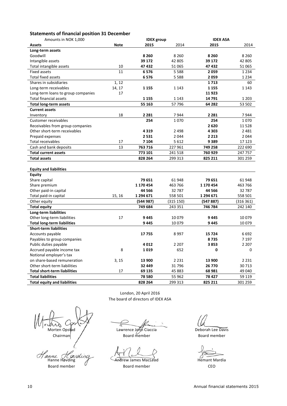# **Statements of financial position 31 December**

| Amounts in NOK 1,000                |             | <b>IDEX</b> group |           | <b>IDEX ASA</b> |           |
|-------------------------------------|-------------|-------------------|-----------|-----------------|-----------|
| <b>Assets</b>                       | <b>Note</b> | 2015              | 2014      | 2015            | 2014      |
| Long-term assets                    |             |                   |           |                 |           |
| Goodwill                            |             | 8 2 6 0           | 8 2 6 0   | 8 2 6 0         | 8 2 6 0   |
| Intangible assets                   |             | 39 172            | 42 805    | 39 172          | 42 805    |
| Total intangible assets             | 10          | 47432             | 51 065    | 47432           | 51 065    |
| <b>Fixed assets</b>                 | 11          | 6576              | 5588      | 2059            | 1 2 3 4   |
| <b>Total fixed assets</b>           |             | 6576              | 5588      | 2059            | 1 2 3 4   |
| Shares in subsidiaries              | 1, 12       |                   |           | 1713            | 60        |
| Long-term receivables               | 14, 17      | 1 1 5 5           | 1 1 4 3   | 1 1 5 5         | 1 1 4 3   |
| Long-term loans to group companies  | 17          |                   |           | 11923           |           |
| Total financial assets              |             | 1 1 5 5           | 1 1 4 3   | 14791           | 1 2 0 3   |
| <b>Total long-term assets</b>       |             | 55 163            | 57796     | 64 282          | 53 502    |
| <b>Current assets</b>               |             |                   |           |                 |           |
| Inventory                           | 18          | 2 2 8 1           | 7944      | 2 2 8 1         | 7944      |
| Customer receivables                |             | 254               | 1070      | 254             | 1070      |
| Receivables from group companies    |             |                   |           | 2620            | 11528     |
| Other short-term receivables        |             | 4319              | 2 4 9 8   | 4 3 0 3         | 2 4 8 1   |
| Prepaid expenses                    |             | 2531              | 2044      | 2 2 1 3         | 2044      |
| Total receivables                   | 17          | 7 1 0 4           | 5 6 1 2   | 9389            | 17 123    |
| Cash and bank deposits              | 13          | 763 716           | 227 961   | 749 258         | 222 690   |
| <b>Total current assets</b>         |             | 773 101           | 241 518   | 760 929         | 247 757   |
| <b>Total assets</b>                 |             | 828 264           | 299 313   | 825 211         | 301 259   |
| <b>Equity and liabilities</b>       |             |                   |           |                 |           |
| Equity                              |             |                   |           |                 |           |
| Share capital                       |             | 79 651            | 61 948    | 79 651          | 61 948    |
| Share premium                       |             | 1 170 454         | 463 766   | 1 170 454       | 463 766   |
| Other paid-in capital               |             | 44 5 66           | 32787     | 44 566          | 32787     |
| Total paid-in capital               | 15, 16      | 1 294 671         | 558 501   | 1 294 671       | 558 501   |
| Other equity                        |             | (544987)          | (315 150) | (547887)        | (316 361) |
| <b>Total equity</b>                 |             | 749 684           | 243 351   | 746 784         | 242 140   |
| <b>Long-term liabilities</b>        |             |                   |           |                 |           |
| Other long-term liabilities         | 17          | 9445              | 10079     | 9445            | 10079     |
| <b>Total long-term liabilities</b>  |             | 9445              | 10079     | 9445            | 10079     |
| <b>Short-term liabilities</b>       |             |                   |           |                 |           |
| Accounts payable                    |             | 17755             | 8997      | 15724           | 6692      |
| Payables to group companies         |             |                   |           | 8735            | 7 1 9 7   |
| Public duties payable               |             | 4012              | 2 2 0 7   | 3853            | 2 2 0 7   |
| Accrued payable income tax          | 8           | 1019              | 652       | 0               | 0         |
| Notional employer's tax             |             |                   |           |                 |           |
| on share-based remuneration         | 3, 15       | 13 900            | 2 2 3 1   | 13 900          | 2 2 3 1   |
| Other short-term liabilities        |             | 32 449            | 31796     | 26 770          | 30713     |
| <b>Total short-term liabilities</b> | 17          | 69 135            | 45 883    | 68 981          | 49 040    |
| <b>Total liabilities</b>            |             | 78 580            | 55 962    | 78 427          | 59 119    |
| <b>Total equity and liabilities</b> |             | 828 264           | 299 313   | 825 211         | 301 259   |
|                                     |             |                   |           |                 |           |

0 Morten Opstad / Lawrence John Ciaccia Deborah Lee Davis Chairman / Board member Board member Hanne Hovoling Andrew James MacLeod Hemant Mardia

London, 20 April 2016 The board of directors of IDEX ASA

Board member  $\overline{C}$  Board member CEO

7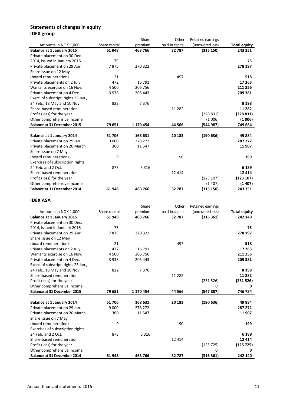# **Statements of changes in equity IDEX group**

|                                      |               | Share     | Other           | Retained earnings |                     |
|--------------------------------------|---------------|-----------|-----------------|-------------------|---------------------|
| Amounts in NOK 1,000                 | Share capital | premium   | paid-in capital | (uncovered loss)  | <b>Total equity</b> |
| <b>Balance at 1 January 2015</b>     | 61 948        | 463 766   | 32 787          | (315 150)         | 243 351             |
| Private placement on 30 Dec.         |               |           |                 |                   |                     |
| 2014, issued in January 2015         | 75            |           |                 |                   | 75                  |
| Private placement on 29 April        | 7875          | 270 322   |                 |                   | 278 197             |
| Share issue on 12 May                |               |           |                 |                   |                     |
| (board remuneration)                 | 21            |           | 497             |                   | 518                 |
| Private placements on 2 July         | 472           | 16 791    |                 |                   | 17 263              |
| Warrants exercise on 16 Nov.         | 4 5 0 0       | 206 756   |                 |                   | 211 256             |
| Private placement on 4 Dec.          | 3938          | 205 443   |                 |                   | 209 381             |
| Exerc. of subscript. rights 23 Jan., |               |           |                 |                   |                     |
| 24 Feb., 18 May and 10 Nov.          | 822           | 7376      |                 |                   | 8 1 9 8             |
| Share-based remuneration             |               |           | 11 2 8 2        |                   | 11 282              |
| Profit (loss) for the year           |               |           |                 | (228831)          | (228831)            |
| Other comprehensive income           |               |           |                 | (1006)            | (1006)              |
| <b>Balance at 31 December 2015</b>   | 79 651        | 1 170 454 | 44 566          | (544987)          | 749 684             |
|                                      |               |           |                 |                   |                     |
| Balance at 1 January 2014            | 51706         | 168 631   | 20 183          | (190636)          | 49884               |
| Private placement on 29 Jan.         | 9 0 0 0       | 278 272   |                 |                   | 287 272             |
| Private placement on 20 March        | 360           | 11 547    |                 |                   | 11 907              |
| Share issue on 7 May                 |               |           |                 |                   |                     |
| (board remuneration)                 | 9             |           | 190             |                   | 199                 |
| Exercises of subscription rights     |               |           |                 |                   |                     |
| 24 Feb. and 2 Oct.                   | 873           | 5 3 1 6   |                 |                   | 6 1 8 9             |
| Share-based remuneration             |               |           | 12 4 14         |                   | 12 4 14             |
| Profit (loss) for the year           |               |           |                 | (123 107)         | (123 107)           |
| Other comprehensive income           |               |           |                 | (1407)            | (1407)              |
| <b>Balance at 31 December 2014</b>   | 61 948        | 463 766   | 32787           | (315 150)         | 243 351             |

# **IDEX ASA**

|                                      |               | Share     | Other           | Retained earnings |                     |
|--------------------------------------|---------------|-----------|-----------------|-------------------|---------------------|
| Amounts in NOK 1,000                 | Share capital | premium   | paid-in capital | (uncovered loss)  | <b>Total equity</b> |
| <b>Balance at 1 January 2015</b>     | 61 948        | 463 766   | 32 787          | (316361)          | 242 140             |
| Private placement on 30 Dec.         |               |           |                 |                   |                     |
| 2014, issued in January 2015         | 75            |           |                 |                   | 75                  |
| Private placement on 29 April        | 7875          | 270 322   |                 |                   | 278 197             |
| Share issue on 12 May                |               |           |                 |                   |                     |
| (board remuneration)                 | 21            |           | 497             |                   | 518                 |
| Private placements on 2 July         | 472           | 16 791    |                 |                   | 17 263              |
| Warrants exercise on 16 Nov.         | 4500          | 206 756   |                 |                   | 211 256             |
| Private placement on 4 Dec.          | 3938          | 205 443   |                 |                   | 209 381             |
| Exerc. of subscript. rights 23 Jan., |               |           |                 |                   |                     |
| 24 Feb., 18 May and 10 Nov.          | 822           | 7376      |                 |                   | 8 1 9 8             |
| Share-based remuneration             |               |           | 11 2 8 2        |                   | 11 282              |
| Profit (loss) for the year           |               |           |                 | (231526)          | (231526)            |
| Other comprehensive income           |               |           |                 | 0                 | 0                   |
| <b>Balance at 31 December 2015</b>   | 79 651        | 1 170 454 | 44 5 66         | (547887)          | 746 784             |
|                                      |               |           |                 |                   |                     |
| <b>Balance at 1 January 2014</b>     | 51706         | 168 631   | 20 183          | (190636)          | 49884               |
| Private placement on 29 Jan.         | 9 0 0 0       | 278 272   |                 |                   | 287 272             |
| Private placement on 20 March        | 360           | 11547     |                 |                   | 11 907              |
| Share issue on 7 May                 |               |           |                 |                   |                     |
| (board remuneration)                 | 9             |           | 190             |                   | 199                 |
| Exercises of subscription rights     |               |           |                 |                   |                     |
| 24 Feb. and 2 Oct.                   | 873           | 5 3 1 6   |                 |                   | 6 1 8 9             |
| Share-based remuneration             |               |           | 12 4 14         |                   | 12 4 14             |
| Profit (loss) for the year           |               |           |                 | (125725)          | (125725)            |
| Other comprehensive income           |               |           |                 | $\Omega$          | 0                   |
| <b>Balance at 31 December 2014</b>   | 61 948        | 463 766   | 32787           | (316 361)         | 242 140             |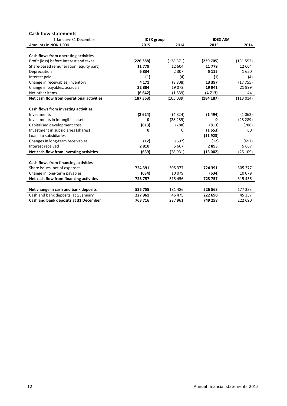# **Cash flow statements**

| 1 January-31 December                     | <b>IDEX</b> group |           | <b>IDEX ASA</b> |          |
|-------------------------------------------|-------------------|-----------|-----------------|----------|
| Amounts in NOK 1,000                      | 2015              | 2014      | 2015            | 2014     |
|                                           |                   |           |                 |          |
| Cash flows from operating activities      |                   |           |                 |          |
| Profit (loss) before interest and taxes   | (226 388)         | (128371)  | (229 705)       | (131552) |
| Share-based remuneration (equity part)    | 11779             | 12 604    | 11779           | 12 604   |
| Depreciation                              | 6834              | 2 3 0 7   | 5 1 1 5         | 1650     |
| Interest paid                             | $\left( 1\right)$ | (4)       | (1)             | (4)      |
| Change in receivables, inventory          | 4 1 7 1           | (8808)    | 13 3 9 7        | (17755)  |
| Change in payables, accruals              | 22 8 84           | 19072     | 19 941          | 21 9 9 9 |
| Net other items                           | (6642)            | (1839)    | (4 713)         | 44       |
| Net cash flow from operational activities | (187363)          | (105 039) | (184 187)       | (113014) |
|                                           |                   |           |                 |          |
| Cash flows from investing activities      |                   |           |                 |          |
| Investments                               | (2624)            | (4824)    | (1494)          | (1062)   |
| Investments in intangible assets          | 0                 | (28 289)  | 0               | (28 289) |
| Capitalised development cost              | (813)             | (788)     | (813)           | (788)    |
| Investment in subsidiaries (shares)       | 0                 | 0         | (1653)          | 60       |
| Loans to subsidiaries                     |                   |           | (11923)         |          |
| Changes in long-term receivables          | (12)              | (697)     | (12)            | (697)    |
| Interest received                         | 2810              | 5667      | 2893            | 5667     |
| Net cash flow from investing activities   | (639)             | (28931)   | (13002)         | (25 109) |
|                                           |                   |           |                 |          |
| Cash flows from financing activities      |                   |           |                 |          |
| Share issues, net of expenses             | 724 391           | 305 377   | 724 391         | 305 377  |
| Change in long-term payables              | (634)             | 10079     | (634)           | 10079    |
| Net cash flow from financing activities   | 723 757           | 315 456   | 723 757         | 315 456  |
|                                           |                   |           |                 |          |
| Net change in cash and bank deposits      | 535 755           | 181 486   | 526 568         | 177 333  |
| Cash and bank deposits at 1 January       | 227961            | 46 475    | 222 690         | 45 357   |
| Cash and bank deposits at 31 December     | 763 716           | 227 961   | 749 258         | 222 690  |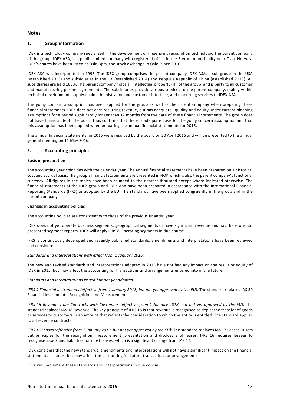# **Notes**

# **1. Group information**

IDEX is a technology company specialized in the development of fingerprint recognition technology. The parent company of the group, IDEX ASA, is a public limited company with registered office in the Bærum municipality near Oslo, Norway. IDEX's shares have been listed at Oslo Børs, the stock exchange in Oslo, since 2010.

IDEX ASA was incorporated in 1996. The IDEX group comprises the parent company IDEX ASA, a sub-group in the USA (established 2013) and subsidiaries in the UK (established 2014) and People's Republic of China (established 2015). All subsidiaries are held 100%. The parent company holds all intellectual property (IP) of the group, and is party to all customer and manufacturing partner agreements. The subsidiaries provide various services to the parent company, mainly within technical development, supply-chain administration and customer interface, and marketing services to IDEX ASA.

The going concern assumption has been applied for the group as well as the parent company when preparing these financial statements. IDEX does not earn recurring revenue, but has adequate liquidity and equity under current planning assumptions for a period significantly longer than 12 months from the date of these financial statements. The group does not have financial debt. The board thus confirms that there is adequate basis for the going concern assumption and that this assumption has been applied when preparing the annual financial statements for 2015.

The annual financial statements for 2015 were resolved by the board on 20 April 2016 and will be presented to the annual general meeting on 11 May 2016.

# **2. Accounting principles**

#### **Basis of preparation**

The accounting year coincides with the calendar year. The annual financial statements have been prepared on a historical cost and accrual basis. The group's financial statements are presented in NOK which is also the parent company's functional currency. All figures in the tables have been rounded to the nearest thousand except where indicated otherwise. The financial statements of the IDEX group and IDEX ASA have been prepared in accordance with the International Financial Reporting Standards (IFRS) as adopted by the EU. The standards have been applied congruently in the group and in the parent company.

#### **Changes in accounting policies**

The accounting policies are consistent with those of the previous financial year.

IDEX does not yet operate business segments, geographical segments or have significant revenue and has therefore not presented segment reports. IDEX will apply IFRS 8 Operating segments in due course.

IFRS is continuously developed and recently published standards, amendments and interpretations have been reviewed and considered.

# *Standards and interpretations with effect from 1 January 2015:*

The new and revised standards and interpretations adopted in 2015 have not had any impact on the result or equity of IDEX in 2015, but may affect the accounting for transactions and arrangements entered into in the future.

*Standards and interpretations issued but not yet adopted:*

IFRS 9 Financial Instruments (effective from 1 January 2018, but not yet approved by the EU): The standard replaces IAS 39 Financial Instruments: Recognition and Measurement.

IFRS 15 Revenue from Contracts with Customers (effective from 1 January 2018, but not yet approved by the EU): The standard replaces IAS 18 Revenue. The key principle of IFRS 15 is that revenue is recognised to depict the transfer of goods or services to customers in an amount that reflects the consideration to which the entity is entitled. The standard applies to all revenue contracts.

IFRS 16 Leases (effective from 1 January 2019, but not yet approved by the EU): The standard replaces IAS 17 Leases. It sets out principles for the recognition, measurement ,presentation and disclosure of leases. IFRS 16 requires lessees to recognise assets and liabilities for most leases, which is a significant change from IAS 17.

IDEX considers that the new standards, amendments and interpretations will not have a significant impact on the financial statements or notes, but may affect the accounting for future transactions or arrangements

IDEX will implement these standards and interpretations in due course.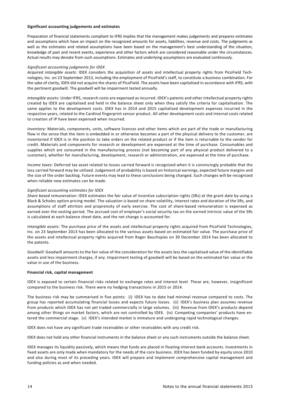#### **Significant accounting judgements and estimates**

Preparation of financial statements compliant to IFRS implies that the management makes judgements and prepares estimates and assumptions which have an impact on the recognized amounts for assets, liabilities, revenue and costs. The judgments as well as the estimates and related assumptions have been based on the management's best understanding of the situation, knowledge of past and recent events, experience and other factors which are considered reasonable under the circumstances. Actual results may deviate from such assumptions. Estimates and underlying assumptions are evaluated continously.

#### *Significant accounting judgments for IDEX*

*Acquired intangible assets:* IDEX considers the acquisition of assets and intellectual property rights from PicoField Technologies, Inc. on 23 September 2013, including the employment of PicoField's staff, to constitute a business combination. For the sake of clarity, IDEX did not acquire the shares of PicoField. The assets have been capitalised in accordance with IFRS, with the pertinent goodwill. The goodwill will be impairment tested annually.

*Intangible assets:* Under IFRS, research costs are expensed as incurred. IDEX's patents and other intellectual property rights created by IDEX are capitalised and held in the balance sheet only when they satisfy the criteria for capitalisation. The same applies to the development costs. IDEX has in 2014 and 2015 capitalised development expenses incurred in the respective years, related to the Cardinal fingerprint sensor product. All other development costs and internal costs related to creation of IP have been expensed when incurred.

*Inventory:* Materials, components, units, software licences and other items which are part of the trade or manufacturing flow in the sense that the item is embedded in or otherwise becomes a part of the physical delivery to the customer, are inventoried if IDEX is in the position to take orders on the related product or if the item is returnable to the vendor for credit. Materials and components for research or development are expensed at the time of purchase. Consumables and supplies which are consumed in the manufacturing process (not becoming part of any physical product delivered to a customer), whether for manufacturing, development, research or administration, are expensed at the time of purchase.

*Income taxes:* Deferred tax asset related to losses carried forward is recognized when it is convincingly probable that the loss carried forward may be utilised. Judgement of probability is based on historical earnings, expected future margins and the size of the order backlog. Future events may lead to these conclusions being changed. Such changes will be recognized when reliable new estimates can be made.

#### *Significant accounting estimates for IDEX*

*Share based remuneration:* IDEX estimates the fair value of incentive subscription rights (SRs) at the grant date by using a Black & Scholes option pricing model. The valuation is based on share volatility, interest rates and duration of the SRs, and assumptions of staff attrition and proprensity of early exercise. The cost of share-based remuneration is expensed as earned over the vesting period. The accrued cost of employer's social security tax on the earned intrinsic value of the SRs is calculated at each balance sheet date, and the net change is accounted for.

*Intangible assets:* The purchase price of the assets and intellectual property rights acquired from PicoField Technologies, Inc. on 23 September 2013 has been allocated to the various assets based on estimated fair value. The purchase price of the assets and intellectual property rights acquired from Roger Bauchspies on 30 December 2014 has been allocated to the patents.

*Goodwill:* Goodwill amounts to the fair value of the consideration for the assets less the capitalised value of the identifiable assets and less impairment charges, if any. Impairment testing of goodwill will be based on the estimated fair value or the value in use of the business.

#### **Financial risk, capital management**

IDEX is exposed to certain financial risks related to exchange rates and interest level. These are, however, insignificant compared to the business risk. There were no hedging transactions in 2015 or 2014.

The business risk may be summarised in five points: (i) IDEX has to date had minimal revenue compared to costs. The group has reported accumulating financial losses and expects future losses. (ii) IDEX's business plan assumes revenue from products which IDEX has not yet traded commercially in large volumes. (iii) Revenue from IDEX's products depend among other things on market factors, which are not controlled by IDEX. (iv) Competing companies' products have entered the commercial stage. (v) IDEX's intended market is immature and undergoing rapid technological changes.

IDEX does not have any significant trade receivables or other receivables with any credit risk.

IDEX does not hold any other financial instruments in the balance sheet or any such instruments outside the balance sheet.

IDEX manages its liquidity passively, which means that funds are placed in floating-interest bank accounts. Investments in fixed assets are only made when mandatory for the needs of the core business. IDEX has been funded by equity since 2010 and also during most of its preceding years. IDEX will prepare and implement comprehensive capital management and funding policies as and when needed.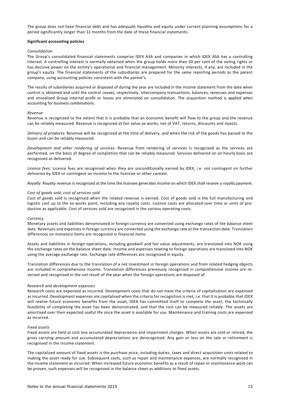The group does not have financial debt and has adequate liquidity and equity under current planning assumptions for a period significantly longer than 12 months from the date of these financial statements.

#### **Significant accounting policies**

#### *Consolidation*

The Group's consolidated financial statements comprise IDEX ASA and companies in which IDEX ASA has a controlling interest. A controlling interest is normally obtained when the group holds more than 50 per cent of the voting rights or has decisive power on the enitity's operational and financial management. Minority interests, if any, are included in the group's equity. The financial statements of the subsidiaries are prepared for the same reporting periods as the parent company, using accounting policies consistent with the parent's.

The results of subsidiaries acquired or disposed of during the year are included in the income statement from the date when control is obtained and until the control ceases, respectively. Intercompany transactions, balances, revenues and expenses and unrealised Group internal profit or losses are eliminated on consolidation. The acquisition method is applied when accounting for business combinations.

#### *Revenue*

Revenue is recognized to the extent that it is probable that an economic benefit will flow to the group and the revenue can be reliably measured. Revenue is recognized at fair value ex works, net of VAT, returns, discounts and rejects.

*Delivery of products:* Revenue will be recognized at the time of delivery, and when the risk of the goods has passed to the buyer and can be reliably measured.

*Development and other rendering of services:* Revenue from rendering of services is recognized as the services are performed, on the basis of degree of completion that can be reliably measured. Services delivered on an hourly basis are recognized as delivered.

*Licence fees:* Licence fees are recognised when they are unconditionally earned by IDEX, i.e. not contingent on further deliveries by IDEX or contingent on income to the licencee or other caveats.

*Royalty:* Royalty revenue is recognized at the time the licensee generates income on which IDEX shall receive a royalty payment.

#### *Cost of goods sold, cost of services sold*

Cost of goods sold is recognised when the related revenue is earned. Cost of goods sold is the full manufacturing and logistic cost up to the ex works point, including any royalty costs. Licence costs are allocated over time or units of production as applicable. Cost of services sold are recognised in the various operating costs.

#### *Currency*

Monetary assets and liabilities denominated in foreign currency are converted using exchange rates of the balance sheet date. Revenues and expenses in foreign currency are converted using the exchange rate at the transaction date. Translation differences on monetary items are recognized in financial items.

Assets and liabilities in foreign operations, including goodwill and fair value adjustments, are translated into NOK using the exchange rates on the balance sheet date. Income and expenses relating to foreign operations are translated into NOK using the average exchange rate. Exchange rate differences are recognized in equity.

Translation differences due to the translation of a net investment in foreign operations and from related hedging objects are included in comprehensive income. Translation differences previously recognized in comprehensive income are reversed and recognised in the net result of the year when the foreign operations are disposed of.

#### *Research and development expenses*

Research costs are expensed as incurred. Development costs that do not meet the criteria of capitalisation are expensed as incurred. Development expenses are capitalised when the criteria for recognition is met, i.e. that it is probable that IDEX will realise future economic benefits from the asset, IDEX has committed itself to complete the asset, the technically feasibility of completing the asset has been demonstrated, and that the cost can be measured reliably. The assets are amortised over their expected useful life once the asset is available for use. Maintenance and training costs are expensed as incurred.

#### *Fixed assets*

Fixed assets are held at cost less accumulated depreciation and impairment charges. When assets are sold or retired, the gross carrying amount and accumulated depreciations are derecognised. Any gain or loss on the sale or retirement is recognised in the income statement.

The capitalised amount of fixed assets is the purchase price, including duties, taxes and direct acquisition costs related to making the asset ready for use. Subsequent costs, such as repair and maintenance expenses, are normally recognised in the income statement as incurred. When increased future economic benefits as a result of repair or maintenance work can be proven, such expenses will be recognised in the balance sheet as additions to fixed assets.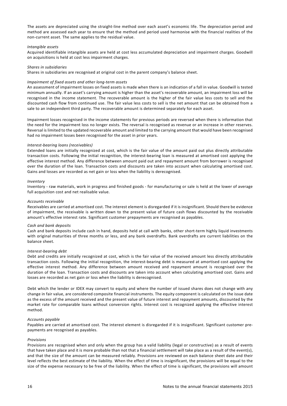The assets are depreciated using the straight-line method over each asset's economic life. The depreciation period and method are assessed each year to ensure that the method and period used harmonise with the financial realities of the non-current asset. The same applies to the residual value.

#### *Intangible assets*

Acquired identifiable intangible assets are held at cost less accumulated depreciation and impairment charges. Goodwill on acquisitions is held at cost less impairment charges.

#### *Shares in subsidiaries*

Shares in subsidiaries are recognised at original cost in the parent company's balance sheet.

#### *Impairment of fixed assets and other long-term assets*

An assessment of impairment losses on fixed assets is made when there is an indication of a fall in value. Goodwill is tested minimum annually. If an asset's carrying amount is higher than the asset's recoverable amount, an impairment loss will be recognised in the income statement. The recoverable amount is the higher of the fair value less costs to sell and the discounted cash flow from continued use. The fair value less costs to sell is the net amount that can be obtained from a sale to an independent third party. The recoverable amount is determined separately for each asset.

Impairment losses recognised in the income statements for previous periods are reversed when there is information that the need for the impairment loss no longer exists. The reversal is recognised as revenue or an increase in other reserves. Reversal is limited to the updated recoverable amount and limited to the carrying amount that would have been recognised had no impairment losses been recognised for the asset in prior years.

#### *InterestͲbearing loans (receivables)*

Extended loans are initially recognized at cost, which is the fair value of the amount paid out plus directly attributable transaction costs. Following the initial recognition, the interest-bearing loan is measured at amortised cost applying the effective interest method. Any difference between amount paid out and repayment amount from borrower is recognised over the duration of the loan. Transaction costs and discounts are taken into account when calculating amortised cost. Gains and losses are recorded as net gain or loss when the liability is derecognised.

#### *Inventory*

Inventory - raw materials, work in progress and finished goods - for manufacturing or sale is held at the lower of average full acquisition cost and net realisable value.

#### *Accounts receivable*

Receivables are carried at amortised cost. The interest element is disregarded if it is insignificant. Should there be evidence of impairment, the receivable is written down to the present value of future cash flows discounted by the receivable amount's effective interest rate. Significant customer prepayments are recognised as payables.

#### *Cash and bank deposits*

Cash and bank deposits include cash in hand, deposits held at call with banks, other short-term highly liquid investments with original maturities of three months or less, and any bank overdrafts. Bank overdrafts are current liabilities on the balance sheet.

#### $Interest$ *-bearing*  $debt$

Debt and credits are initially recognized at cost, which is the fair value of the received amount less directly attributable transaction costs. Following the initial recognition, the interest-bearing debt is measured at amortised cost applying the effective interest method. Any difference between amount received and repayment amount is recognised over the duration of the loan. Transaction costs and discounts are taken into account when calculating amortised cost. Gains and losses are recorded as net gain or loss when the liability is derecognised.

Debt which the lender or IDEX may convert to equity and where the number of issued shares does not change with any change in fair value, are considered composite financial instruments. The equity component is calculated on the issue date as the excess of the amount received and the present value of future interest and repayment amounts, discounted by the market rate for comparable loans without conversion rights. Interest cost is recognized applying the effective interest method.

#### *Accounts payable*

Payables are carried at amortised cost. The interest element is disregarded if it is insignificant. Significant customer prepayments are recognised as payables.

#### *Provisions*

Provisions are recognised when and only when the group has a valid liability (legal or constructive) as a result of events that have taken place and it is more probable than not that a financial settlement will take place as a result of the event(s), and that the size of the amount can be measured reliably. Provisions are reviewed on each balance sheet date and their level reflects the best estimate of the liability. When the effect of time is insignificant, the provisions will be equal to the size of the expense necessary to be free of the liability. When the effect of time is significant, the provisions will amount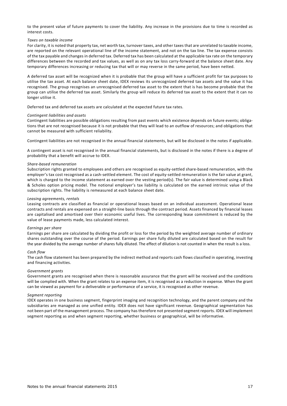to the present value of future payments to cover the liability. Any increase in the provisions due to time is recorded as interest costs.

#### *Taxes on taxable income*

For clarity, it is noted that property tax, net worth tax, turnover taxes, and other taxes that are unrelated to taxable income, are reported on the relevant operational line of the income statement, and not on the tax line. The tax expense consists of the tax payable and changes in deferred tax. Deferred tax has been calculated at the applicable tax rate on the temporary differences between the recorded and tax values, as well as on any tax loss carry-forward at the balance sheet date. Any temporary differences increasing or reducing tax that will or may reverse in the same period, have been netted.

A deferred tax asset will be recognized when it is probable that the group will have a sufficient profit for tax purposes to utilise the tax asset. At each balance sheet date, IDEX reviews its unrecognized deferred tax assets and the value it has recognised. The group recognises an unrecognised deferred tax asset to the extent that is has become probable that the group can utilise the deferred tax asset. Similarly the group will reduce its deferred tax asset to the extent that it can no longer utilise it.

Deferred tax and deferred tax assets are calculated at the expected future tax rates.

#### *Contingent liabilities and assets*

Contingent liabilities are possible obligations resulting from past events which existence depends on future events; obligations that are not recognised because it is not probable that they will lead to an outflow of resources; and obligations that cannot be measured with sufficient reliability.

Contingent liabilities are not recognised in the annual financial statements, but will be disclosed in the notes if applicable.

A contingent asset is not recognised in the annual financial statements, but is disclosed in the notes if there is a degree of probability that a benefit will accrue to IDEX.

#### *ShareͲbased remuneration*

Subscription rights granted to employees and others are recognised as equity-settled share-based remuneration, with the employer's tax cost recognised as a cash-settled element. The cost of equity-settled remuneration is the fair value at grant, which is charged to the income statement as earned over the vesting period(s). The fair value is determined using a Black & Scholes option pricing model. The notional employer's tax liability is calculated on the earned intrinsic value of the subscription rights. The liability is remeasured at each balance sheet date.

#### *Leasing agreements, rentals*

Leasing contracts are classified as financial or operational leases based on an individual assessment. Operational lease contracts and rentals are expensed on a straight-line basis through the contract period. Assets financed by financial leases are capitalised and amortised over their economic useful lives. The corresponding lease commitment is reduced by the value of lease payments made, less calculated interest.

#### *Earnings per share*

Earnings per share are calculated by dividing the profit or loss for the period by the weighted average number of ordinary shares outstanding over the course of the period. Earnings per share fully diluted are calculated based on the result for the year divided by the average number of shares fully diluted. The effect of dilution is not counted in when the result is a loss.

#### *Cash flow*

The cash flow statement has been prepared by the indirect method and reports cash flows classified in operating, investing and financing activities.

#### *Government grants*

Government grants are recognised when there is reasonable assurance that the grant will be received and the conditions will be complied with. When the grant relates to an expense item, it is recognised as a reduction in expense. When the grant can be viewed as payment for a deliverable or performance of a service, it is recognised as other revenue.

#### *Segment reporting*

IDEX operates in one business segment, fingerprint imaging and recognition technology, and the parent company and the subsidiaries are managed as one unified entity. IDEX does not have significant revenue. Geographical segmentation has not been part of the management process. The company has therefore not presented segment reports. IDEX will implement segment reporting as and when segment reporting, whether business or geographical, will be informative.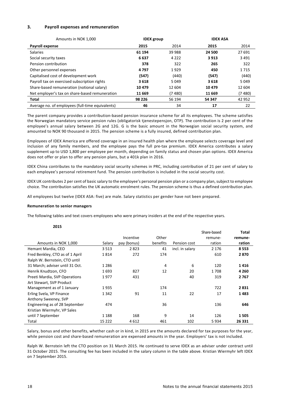#### **3. Payroll expenses and remuneration**

| Amounts in NOK 1,000                             | <b>IDEX</b> group |         | <b>IDEX ASA</b> |         |  |
|--------------------------------------------------|-------------------|---------|-----------------|---------|--|
| Payroll expense                                  | 2015              | 2014    | 2015            | 2014    |  |
| <b>Salaries</b>                                  | 61 194            | 39 988  | 24 500          | 27 691  |  |
| Social security taxes                            | 6637              | 4 2 2 2 | 3913            | 3 4 9 1 |  |
| Pension contribution                             | 378               | 322     | 265             | 322     |  |
| Other personnel expenses                         | 4797              | 1929    | 450             | 1715    |  |
| Capitalised cost of development work             | (547)             | (440)   | (547)           | (440)   |  |
| Payroll tax on exercised subscription rights     | 3618              | 5049    | 3618            | 5049    |  |
| Share-based remuneration (notional salary)       | 10479             | 12 604  | 10479           | 12 604  |  |
| Net employer's tax on share-based remuneration   | 11 669            | (7 480) | 11 669          | (7480)  |  |
| Total                                            | 98 2 2 6          | 56 194  | 54 347          | 42 952  |  |
| Average no. of employees (full-time equivalents) | 46                | 34      | 17              | 22      |  |

The parent company provides a contribution-based pension insurance scheme for all its employees. The scheme satisfies the Norwegian mandatory service pension rules (obligatorisk tjenestepensjon, OTP). The contribution is 2 per cent of the employee's annual salary between 2G and 12G. G is the basic amount in the Norwegian social security system, and amounted to NOK 90 thousand in 2015. The pension scheme is a fully insured, defined contribution plan.

Employees of IDEX America are offered coverage in an insured health plan where the employee selects coverage level and inclusion of any family members, and the employee pays the full pre-tax premium. IDEX America contributes a salary supplement up to USD 1,800 per employee per month, depending on family status and chosen plan options. IDEX America does not offer or plan to offer any pension plans, but a 401k plan in 2016.

IDEX China contributes to the mandatory social security schemes in PRC, including contribution of 21 per cent of salary to each employee's personal retirement fund. The pension contribution is included in the social security cost.

IDEX UK contributes 2 per cent of basic salary to the employee's personal pension plan or a company plan, subject to employee choice. The contribution satisfies the UK automatic enrolment rules. The pension scheme is thus a defined contribution plan.

All employees but twelve (IDEX ASA: five) are male. Salary statistics per gender have not been prepared.

#### **Remuneration to senior managers**

The following tables and text covers employees who were primary insiders at the end of the respective years.

# **2015**

|                                 |         |             |          |                 | Share-based | Total   |
|---------------------------------|---------|-------------|----------|-----------------|-------------|---------|
|                                 |         | Incentive   | Other    |                 | remune-     | remune- |
| Amounts in NOK 1,000            | Salary  | pay (bonus) | benefits | Pension cost    | ration      | ration  |
| Hemant Mardia, CEO              | 3 5 1 3 | 2823        | 41       | incl. in salary | 2 1 7 6     | 8553    |
| Fred Benkley, CTO as of 1 April | 1814    | 272         | 174      |                 | 610         | 2870    |
| Ralph W. Bernstein, CTO until   |         |             |          |                 |             |         |
| 31 March; adviser until 31 Oct. | 1 2 8 6 |             | 4        | 6               | 120         | 1416    |
| Henrik Knudtzon, CFO            | 1693    | 827         | 12       | 20              | 1708        | 4 2 6 0 |
| Preeti Mardia, SVP Operations   | 1977    | 431         |          | 40              | 319         | 2767    |
| Art Stewart, SVP Product        |         |             |          |                 |             |         |
| Management as of 1 January      | 1935    |             | 174      |                 | 722         | 2831    |
| Erling Svela, VP Finance        | 1 3 4 2 | 91          | 11       | 22              | 17          | 1483    |
| Anthony Sweeney, SVP            |         |             |          |                 |             |         |
| Engineering as of 28 September  | 474     |             | 36       |                 | 136         | 646     |
| Kristian Wiermyhr, VP Sales     |         |             |          |                 |             |         |
| until 7 September               | 1 1 8 8 | 168         | 9        | 14              | 126         | 1505    |
| Total                           | 15 2 22 | 4612        | 461      | 102             | 5934        | 26 331  |

Salary, bonus and other benefits, whether cash or in kind, in 2015 are the amounts declared for tax purposes for the year, while pension cost and share-based remuneration are expensed amounts in the year. Employers' tax is not included.

Ralph W. Bernstein left the CTO position on 31 March 2015. He continued to serve IDEX as an adviser under contract until 31 October 2015. The consulting fee has been included in the salary column in the table above. Kristian Wiermyhr left IDEX on 7 September 2015.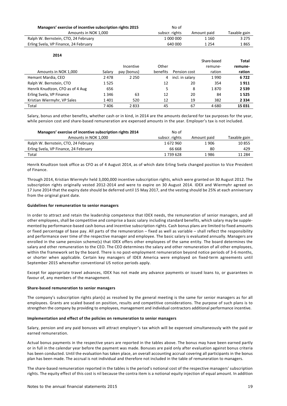| Managers' exercise of incentive subscription rights 2015 | No of          |             |              |
|----------------------------------------------------------|----------------|-------------|--------------|
| Amounts in NOK 1,000                                     | subscr. rights | Amount paid | Taxable gain |
| Ralph W. Bernstein, CTO, 24 February                     | 1 000 000      | 1 1 6 0     | 3 2 7 5      |
| Erling Svela, VP Finance, 24 February                    | 640 000        | 1 2 5 4     | 1 865        |

| 2014                             |         |             |          |                 |             |         |
|----------------------------------|---------|-------------|----------|-----------------|-------------|---------|
|                                  |         |             |          |                 | Share-based | Total   |
|                                  |         | Incentive   | Other    |                 | remune-     | remune- |
| Amounts in NOK 1,000             | Salary  | pay (bonus) | benefits | Pension cost    | ration      | ration  |
| Hemant Mardia, CEO               | 2478    | 2 2 5 0     | 4        | incl. in salary | 1990        | 6722    |
| Ralph W. Bernstein, CTO          | 1525    |             | 12       | 20              | 354         | 1911    |
| Henrik Knudtzon, CFO as of 4 Aug | 656     |             | 5        | 8               | 1870        | 2 5 3 9 |
| Erling Svela, VP Finance         | 1 3 4 6 | 63          | 12       | 20              | 84          | 1525    |
| Kristian Wiermyhr, VP Sales      | 1401    | 520         | 12       | 19              | 382         | 2 3 3 4 |
| Total                            | 7406    | 2833        | 45       | 67              | 4680        | 15 031  |

Salary, bonus and other benefits, whether cash or in kind, in 2014 are the amounts declared for tax purposes for the year, while pension cost and share-based remuneration are expensed amounts in the year. Employer's tax is not included.

| Managers' exercise of incentive subscription rights 2014 | No of          |             |              |
|----------------------------------------------------------|----------------|-------------|--------------|
| Amounts in NOK 1,000                                     | subscr. rights | Amount paid | Taxable gain |
| Ralph W. Bernstein, CTO, 24 February                     | 1672960        | 1906        | 10855        |
| Erling Svela, VP Finance, 24 February                    | 66 668         | 80          | 429          |
| Total                                                    | 1739628        | 1986        | 11 284       |

Henrik Knudtzon took office as CFO as of 4 August 2014, as of which date Erling Svela changed position to Vice President of Finance.

Through 2014, Kristian Wiermyhr held 3,000,000 incentive subscription rights, which were granted on 30 August 2012. The subscription rights originally vested 2012-2014 and were to expire on 30 August 2014. IDEX and Wiermyhr agreed on 17 June 2014 that the expiry date should be deferred until 15 May 2017, and the vesting should be 25% at each anniversary from the original grant date.

#### **Guidelines for remuneration to senior managers**

In order to attract and retain the leadership competence that IDEX needs, the remuneration of senior managers, and all other employees, shall be competitive and comprise a basic salary including standard benefits, which salary may be supplemented by performance-based cash bonus and incentive subscription rights. Cash bonus plans are limited to fixed amounts or fixed percentage of base pay. All parts of the remuneration – fixed as well as variable – shall reflect the responsibility and performance over time of the respective manager and employee. The basic salary is evaluated annually. Managers are enrolled in the same pension scheme(s) that IDEX offers other employees of the same entity. The board determines the salary and other remuneration to the CEO. The CEO determines the salary and other remuneration of all other employees, within the framework set by the board. There is no post-employment remuneration beyond notice periods of 3-6 months, or shorter when applicable. Certain key managers of IDEX America were employed on fixed-term agreements until September 2015 whereafter conventional US notice periods apply.

Except for appropriate travel advances, IDEX has not made any advance payments or issued loans to, or guarantees in favour of, any members of the management.

#### **Share-based remuneration to senior managers**

The company's subscription rights plan(s) as resolved by the general meeting is the same for senior managers as for all employees. Grants are scaled based on position, results and competitive considerations. The purpose of such plans is to strengthen the company by providing to employees, management and individual contractors additional performance incentive.

#### **Implementation and effect of the policies on remuneration to senior managers**

Salary, pension and any paid bonuses will attract employer's tax which will be expensed simultaneously with the paid or earned remuneration.

Actual bonus payments in the respective years are reported in the tables above. The bonus may have been earned partly or in full in the calendar year before the payment was made. Bonuses are paid only after evaluation against bonus criteria has been conducted. Until the evaluation has taken place, an overall accounting accrual covering all participants in the bonus plan has been made. The accrual is not individual and therefore not included in the table of remuneration to managers.

The share-based remuneration reported in the tables is the period's notional cost of the respective managers' subscription rights. The equity effect of this cost is nil because the contra item is a notional equity injection of equal amount. In addition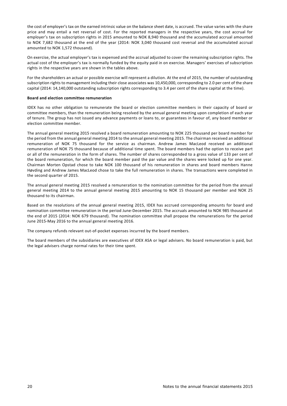the cost of employer's tax on the earned intrinsic value on the balance sheet date, is accrued. The value varies with the share price and may entail a net reversal of cost. For the reported managers in the respective years, the cost accrual for employer's tax on subscription rights in 2015 amounted to NOK 8,940 thousand and the accumulated accrual amounted to NOK 7,682 thousand at the end of the year (2014: NOK 3,040 thousand cost reversal and the accumulated accrual amounted to NOK 1,572 thousand).

On exercise, the actual employer's tax is expensed and the accrual adjusted to cover the remaining subscription rights. The actual cost of the employer's tax is normally funded by the equity paid in on exercise. Managers' exercises of subscription rights in the respective years are shown in the tables above.

For the shareholders an actual or possible exercise will represent a dilution. At the end of 2015, the number of outstanding subscription rights to management including their close associates was 10,450,000, corresponding to 2.0 per cent of the share capital (2014: 14,140,000 outstanding subscription rights corresponding to 3.4 per cent of the share capital at the time).

#### **Board and election committee remuneration**

IDEX has no other obligation to remunerate the board or election committee members in their capacity of board or committee members, than the remuneration being resolved by the annual general meeting upon completion of each year of tenure. The group has not issued any advance payments or loans to, or guarantees in favour of, any board member or election committee member.

The annual general meeting 2015 resolved a board remuneration amounting to NOK 225 thousand per board member for the period from the annual general meeting 2014 to the annual general meeting 2015. The chairman received an additional remuneration of NOK 75 thousand for the service as chairman. Andrew James MacLeod received an additional remuneration of NOK 75 thousand because of additional time spent. The board members had the option to receive part or all of the remuneration in the form of shares. The number of shares corresponded to a gross value of 133 per cent of the board remuneration, for which the board member paid the par value and the shares were locked up for one year. Chairman Morten Opstad chose to take NOK 100 thousand of his remuneration in shares and board members Hanne Høvding and Andrew James MacLeod chose to take the full remuneration in shares. The transactions were completed in the second quarter of 2015.

The annual general meeting 2015 resolved a remuneration to the nomination committee for the period from the annual general meeting 2014 to the annual general meeting 2015 amounting to NOK 15 thousand per member and NOK 25 thousand to its chairman.

Based on the resolutions of the annual general meeting 2015, IDEX has accrued corresponding amounts for board and nomination committee remuneration in the period June-December 2015. The accruals amounted to NOK 985 thousand at the end of 2015 (2014: NOK 679 thousand). The nomination committee shall propose the remunerations for the period June 2015-May 2016 to the annual general meeting 2016.

The company refunds relevant out-of-pocket expenses incurred by the board members.

The board members of the subsidiaries are executives of IDEX ASA or legal advisers. No board remuneration is paid, but the legal advisers charge normal rates for their time spent.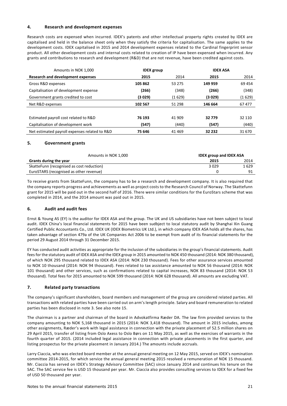# **4. Research and development expenses**

Research costs are expensed when incurred. IDEX's patents and other intellectual property rights created by IDEX are capitalised and held in the balance sheet only when they satisfy the criteria for capitalisation. The same applies to the development costs. IDEX capitalised in 2015 and 2014 development expenses related to the Cardinal fingerprint sensor product. All other development costs and internal costs related to creation of IP have been expensed when incurred. Any grants and contributions to research and development (R&D) that are not revenue, have been credited against costs.

| Amounts in NOK 1,000                          | <b>IDEX</b> group |          | <b>IDEX ASA</b> |         |
|-----------------------------------------------|-------------------|----------|-----------------|---------|
| Research and development expenses             | 2015              | 2014     | 2015            | 2014    |
| Gross R&D expenses                            | 105 862           | 53 275   | 149 959         | 69454   |
| Capitalisation of development expense         | (266)             | (348)    | (266)           | (348)   |
| Government grants credited to cost            | (3 029)           | (1 629)  | (3029)          | (1 629) |
| Net R&D expenses                              | 102 567           | 51 298   | 146 664         | 67477   |
|                                               |                   |          |                 |         |
| Estimated payroll cost related to R&D         | 76 193            | 41 909   | 32779           | 32 110  |
| Capitalisation of development work            | (547)             | (440)    | (547)           | (440)   |
| Net estimated payroll expenses related to R&D | 75 646            | 41 4 6 9 | 32 232          | 31 670  |

# **5. Government grants**

| Amounts in NOK 1.000                      | <b>IDEX group and IDEX ASA</b> |      |
|-------------------------------------------|--------------------------------|------|
| Grants during the year                    | 2015                           | 2014 |
| SkatteFunn (recognised as cost reduction) | 3029                           | 1629 |
| EuroSTARS (recognised as other revenue)   |                                | Q1   |

To receive grants from SkatteFunn, the company has to be a research and development company. It is also required that the company reports progress and achievements as well as project costs to the Research Council of Norway. The Skattefunn grant for 2015 will be paid out in the second half of 2016. There were similar conditions for the EuroStars scheme that was completed in 2014, and the 2014 amount was paid out in 2015.

# **6. Audit and audit fees**

Ernst & Young AS (EY) is the auditor for IDEX ASA and the group. The UK and US subsidiaries have not been subject to local audit. IDEX China's local financial statements for 2015 have been sudbject to local statutory audit by Shanghai Xin Guang Certified Public Accountants Co., Ltd. IDEX UK (IDEX Biometrics UK Ltd.), in which company IDEX ASA holds all the shares, has taken advantage of section 479a of the UK Companies Act 2006 to be exempt from audit of its financial statements for the period 29 August 2014 through 31 December 2015.

EY has conducted audit activities as appropriate for the inclusion of the subsidiaries in the group's financial statements. Audit fees for the statutory audit of IDEX ASA and the IDEX group in 2015 amounted to NOK 450 thousand (2014: NOK 380 thousand), of which NOK 295 thousand related to IDEX ASA (2014: NOK 230 thousand). Fees for other assurance services amounted to NOK 10 thousand (2014: NOK 94 thousand). Fees related to tax assistance amounted to NOK 56 thousand (2014: NOK 101 thousand) and other services, such as confirmations related to capital increases, NOK 83 thousand (2014: NOK 53 thousand). Total fees for 2015 amounted to NOK 599 thousand (2014: NOK 628 thousand). All amounts are excluding VAT.

# **7. Related party transactions**

The company's significant shareholders, board members and management of the group are considered related parties. All transactions with related parties have been carried out on arm's length principle. Salary and board remuneration to related parties has been disclosed in note 3. See also note 15.

The chairman is a partner and chairman of the board in Advokatfirma Ræder DA. The law firm provided services to the company amounting to NOK 5,168 thousand in 2015 (2014: NOK 3,418 thousand). The amount in 2015 includes, among other assignments, Ræder's work with legal assistance in connection with the private placement of 52.5 million shares on 29 April 2015, transfer of listing from Oslo Axess to Oslo Børs on 11 May 2015, as well as the exercises of warrants in the fourth quarter of 2015. (2014 included legal assistance in connection with private placements in the first quarter, and listing prospectus for the private placement in January 2014.) The amounts include accruals.

Larry Ciaccia, who was elected board member at the annual general meeting on 12 May 2015, served on IDEX's nomination committee 2014-2015, for which service the annual general meeting 2015 resolved a remuneration of NOK 15 thousand. Mr. Ciaccia has served on IDEX's Strategy Advisory Committee (SAC) since January 2014 and continues his tenure on the SAC. The SAC service fee is USD 15 thousand per year. Mr. Ciaccia also provides consulting services to IDEX for a fixed fee of USD 50 thousand per year.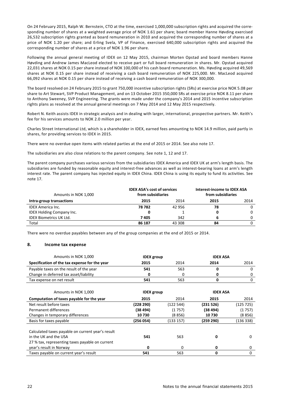On 24 February 2015, Ralph W. Bernstein, CTO at the time, exercised 1,000,000 subscription rights and acquired the corresponding number of shares at a weighted average price of NOK 1.61 per share; board member Hanne Høvding exercised 26,532 subscription rights granted as board remuneration in 2010 and acquired the corresponding number of shares at a price of NOK 1.20 per share; and Erling Svela, VP of Finance, exercised 640,000 subscription rights and acquired the corresponding number of shares at a price of NOK 1.96 per share.

Following the annual general meeting of IDEX on 12 May 2015, chairman Morten Opstad and board members Hanne Høvding and Andrew James MacLeod elected to receive part or full board remuneration in shares. Mr. Opstad acquired 22,031 shares at NOK 0.15 per share instead of NOK 100,000 of his cash board remuneration. Ms. Høvding acquired 49,569 shares at NOK 0.15 per share instead of receiving a cash board remuneration of NOK 225,000. Mr. MacLeod acquired 66,092 shares at NOK 0.15 per share instead of receiving a cash board remuneration of NOK 300,000.

The board resolved on 24 February 2015 to grant 750,000 incentive subscription rights (SRs) at exercise price NOK 5.08 per share to Art Stewart, SVP Product Management, and on 13 October 2015 350,000 SRs at exercise price NOK 8.11 per share to Anthony Sweeney, SVP Engineering. The grants were made under the company's 2014 and 2015 incentive subscription rights plans as resolved at the annual general meetings on 7 May 2014 and 12 May 2015 respectively.

Robert N. Keith assists IDEX in strategic analysis and in dealing with larger, international, prospective partners. Mr. Keith's fee for his services amounts to NOK 2.0 million per year.

Charles Street International Ltd, which is a shareholder in IDEX, earned fees amounting to NOK 14.9 million, paid partly in shares, for providing services to IDEX in 2015.

There were no overdue open items with related parties at the end of 2015 or 2014. See also note 17.

The subsidiaries are also close relations to the parent company. See note 1, 12 and 17.

The parent company purchases various services from the subsidiaries IDEX America and IDEX UK at arm's length basis. The subsidiaries are funded by reasonable equity and interest-free advances as well as interest-bearing loans at arm's length interest rate. The parent company has injected equity in IDEX China. IDEX China is using its equity to fund its activities. See note 17.

| Amounts in NOK 1,000             | <b>IDEX ASA's cost of services</b><br>from subsidiaries |        | Interest-income to IDEX ASA<br>from subsidiaries |          |
|----------------------------------|---------------------------------------------------------|--------|--------------------------------------------------|----------|
| Intra-group transactions         | 2015                                                    | 2014   | 2015                                             | 2014     |
| <b>IDEX America Inc.</b>         | 78 782                                                  | 42 956 | 78                                               | $\Omega$ |
| <b>IDEX Holding Company Inc.</b> | 0                                                       |        |                                                  | $\Omega$ |
| <b>IDEX Biometrics UK Ltd.</b>   | 7405                                                    | 342    | h                                                | 0        |
| Total                            | 86 187                                                  | 43 308 | 84                                               | 0        |

There were no overdue payables between any of the group companies at the end of 2015 or 2014.

#### **8. Income tax expense**

| Amounts in NOK 1,000                              | <b>IDEX</b> group |           | <b>IDEX ASA</b> |           |  |  |                 |  |
|---------------------------------------------------|-------------------|-----------|-----------------|-----------|--|--|-----------------|--|
| Specification of the tax expense for the year     | 2015              | 2014      | 2014            | 2014      |  |  |                 |  |
| Payable taxes on the result of the year           | 541               | 563       | 0               | 0         |  |  |                 |  |
| Change in deferred tax asset/liability            | 0                 | 0         | 0               | 0         |  |  |                 |  |
| Tax expense on net result                         | 541               | 563       | 0               | 0         |  |  |                 |  |
|                                                   |                   |           |                 |           |  |  |                 |  |
| Amounts in NOK 1,000                              | <b>IDEX</b> group |           |                 |           |  |  | <b>IDEX ASA</b> |  |
| Computation of taxes payable for the year         | 2015              | 2014      | 2015            | 2014      |  |  |                 |  |
| Net result before taxes                           | (228 290)         | (122 544) | (231526)        | (125725)  |  |  |                 |  |
| Permanent differences                             | (38494)           | (1 757)   | (38494)         | (1757)    |  |  |                 |  |
| Changes in temporary differences                  | 10730             | (8 856)   | 10730           | (8 856)   |  |  |                 |  |
| Basis for taxes payable                           | (256 054)         | (133 157) | (259 290)       | (136 338) |  |  |                 |  |
| Calculated taxes payable on current year's result |                   |           |                 |           |  |  |                 |  |
| in the UK and the USA                             | 541               | 563       | 0               | 0         |  |  |                 |  |
| 27 % tax, representing taxes payable on current   |                   |           |                 |           |  |  |                 |  |
| year's result in Norway                           | 0                 | $\Omega$  | 0               | 0         |  |  |                 |  |
| Taxes payable on current year's result            | 541               | 563       | 0               | 0         |  |  |                 |  |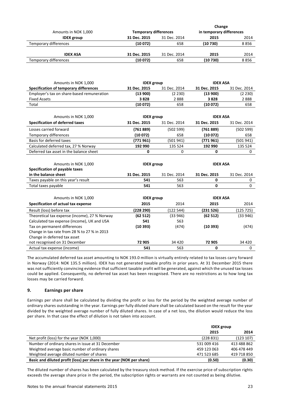|              |              | Change                       |                          |
|--------------|--------------|------------------------------|--------------------------|
| 31 Dec. 2015 | 31 Dec. 2014 | 2015                         | 2014                     |
| (10072)      | 658          | (10730)                      | 8856                     |
| 31 Dec. 2015 | 31 Dec. 2014 | 2015                         | 2014                     |
| (10072)      | 658          | (10730)                      | 8856                     |
|              |              | <b>Temporary differences</b> | in temporary differences |

| Amounts in NOK 1,000                          | <b>IDEX</b> group |              | <b>IDEX ASA</b> |              |
|-----------------------------------------------|-------------------|--------------|-----------------|--------------|
| Specification of temporary differences        | 31 Dec. 2015      | 31 Dec. 2014 | 31 Dec. 2015    | 31 Dec. 2014 |
| Employer's tax on share-based remuneration    | (13900)           | (2 230)      | (13900)         | (2 230)      |
| <b>Fixed Assets</b>                           | 3828              | 2888         | 3828            | 2888         |
| Total                                         | (10072)           | 658          | (10072)         | 658          |
|                                               |                   |              |                 |              |
| Amounts in NOK 1,000                          | <b>IDEX</b> group |              | <b>IDEX ASA</b> |              |
| <b>Specification of deferred taxes</b>        | 31 Dec. 2015      | 31 Dec. 2014 | 31 Dec. 2015    | 31 Dec. 2014 |
| Losses carried forward                        | (761889)          | (502 599)    | (761889)        | (502 599)    |
| Temporary differences                         | (10072)           | 658          | (10072)         | 658          |
| Basis for deferred taxes                      | (771 961)         | (501 941)    | (771 961)       | (501941)     |
| Calculated deferred tax, 27 % Norway          | 192 990           | 135 524      | 192 990         | 135 524      |
| Deferred tax asset in the balance sheet       | 0                 | $\Omega$     | 0               | $\Omega$     |
|                                               |                   |              |                 |              |
| Amounts in NOK 1,000                          | <b>IDEX</b> group |              | <b>IDEX ASA</b> |              |
| Specification of payable taxes                |                   |              |                 |              |
| in the balance sheet                          | 31 Dec. 2015      | 31 Dec. 2014 | 31 Dec. 2015    | 31 Dec. 2014 |
| Taxes payable on this year's result           | 541               | 563          | 0               | 0            |
| Total taxes payable                           | 541               | 563          | 0               | $\mathbf{0}$ |
|                                               |                   |              |                 |              |
| Amounts in NOK 1,000                          | <b>IDEX</b> group |              | <b>IDEX ASA</b> |              |
| Specification of actual tax expense           | 2015              | 2014         | 2015            | 2014         |
| Result (loss) before tax                      | (228 290)         | (122 544)    | (231 526)       | (125725)     |
| Theoretical tax expense (income), 27 % Norway | (62512)           | (33946)      | (62512)         | (33946)      |
| Calculated tax expense (income), UK and USA   | 541               | 563          |                 |              |
| Tax on permanent differences                  | (10393)           | (474)        | (10393)         | (474)        |
| Change in tax rate from 28 % to 27 % in 2013  |                   |              |                 |              |
| Change in deferred tax asset                  |                   |              |                 |              |
| not recognised on 31 December                 | 72 905            | 34 4 20      | 72 905          | 34 4 20      |
| Actual tax expense (income)                   | 541               | 563          | 0               | 0            |

The accumulated deferred tax asset amounting to NOK 193.0 million is virtually entirely related to tax losses carry forward in Norway (2014: NOK 135.5 million). IDEX has not generated taxable profits in prior years. At 31 December 2015 there was not sufficiently convincing evidence that sufficient taxable profit will be generated, against which the unused tax losses could be applied. Consequently, no deferred tax asset has been recognised. There are no restrictions as to how long tax losses may be carried forward.

# **9. Earnings per share**

Earnings per share shall be calculated by dividing the profit or loss for the period by the weighted average number of ordinary shares outstanding in the year. Earnings per fully diluted share shall be calculated based on the result for the year divided by the weighted average number of fully diluted shares. In case of a net loss, the dilution would reduce the loss per share. In that case the effect of dilution is not taken into account.

|                                                                       | <b>IDEX</b> group |             |  |
|-----------------------------------------------------------------------|-------------------|-------------|--|
|                                                                       | 2015              | 2014        |  |
| Net profit (loss) for the year (NOK 1,000)                            | (228831)          | (123 107)   |  |
| Number of ordinary shares in issue at 31 December                     | 531 009 416       | 413 488 862 |  |
| Weighted average basic number of ordinary shares                      | 459 123 063       | 406 478 449 |  |
| Weighted average diluted number of shares                             | 471 523 685       | 419 718 850 |  |
| Basic and diluted profit (loss) per share in the year (NOK per share) | (0.50)            | (0.30)      |  |

The diluted number of shares has been calculated by the treasury stock method. If the exercise price of subscription rights exceeds the average share price in the period, the subscription rights or warrants are not counted as being dilutive.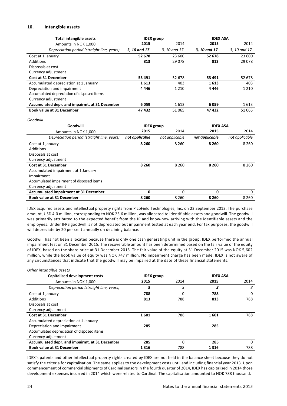#### **10. Intangible assets**

| <b>Total intangible assets</b>                 | <b>IDEX</b> group |                | <b>IDEX ASA</b> |                |
|------------------------------------------------|-------------------|----------------|-----------------|----------------|
| Amounts in NOK 1,000                           | 2015              | 2014           | 2015            | 2014           |
| Depreciation period (straight line, years)     | 3.10 and 17       | 3.10 and 17    | 3, 10 and 17    | 3, 10 and 17   |
| Cost at 1 january                              | 52 678            | 23 600         | 52 678          | 23 600         |
| <b>Additions</b>                               | 813               | 29078          | 813             | 29 0 78        |
| Disposals at cost                              |                   |                |                 |                |
| Currency adjustment                            |                   |                |                 |                |
| <b>Cost at 31 December</b>                     | 53 491            | 52 678         | 53 491          | 52 678         |
| Accumulated depreciation at 1 January          | 1613              | 403            | 1613            | 403            |
| Depreciation and impairment                    | 4 4 4 6           | 1 2 1 0        | 4 4 4 6         | 1 2 1 0        |
| Accumulated depreciation of disposed items     |                   |                |                 |                |
| Currency adjustment                            |                   |                |                 |                |
| Accumulated depr. and impairmt. at 31 December | 6059              | 1613           | 6059            | 1613           |
| <b>Book value at 31 December</b>               | 47 432            | 51065          | 47432           | 51 065         |
| Goodwill                                       |                   |                |                 |                |
| Goodwill                                       | <b>IDEX</b> group |                | <b>IDEX ASA</b> |                |
| Amounts in NOK 1,000                           | 2015              | 2014           | 2015            | 2014           |
| Depreciation period (straight line, years)     | not applicable    | not applicable | not applicable  | not applicable |
| Cost at 1 january                              | 8 2 6 0           | 8 2 6 0        | 8 2 6 0         | 8 2 6 0        |
| <b>Additions</b>                               |                   |                |                 |                |
| Disposals at cost                              |                   |                |                 |                |
| Currency adjustment                            |                   |                |                 |                |
| <b>Cost at 31 December</b>                     | 8 2 6 0           | 8 2 6 0        | 8 2 6 0         | 8 2 6 0        |
| Accumulated impairment at 1 January            |                   |                |                 |                |
| Impairment                                     |                   |                |                 |                |
| Accumulated impairment of disposed items       |                   |                |                 |                |
| Currency adjustment                            |                   |                |                 |                |
| <b>Accumulated impairment at 31 December</b>   | 0                 | $\Omega$       | 0               | $\Omega$       |
| <b>Book value at 31 December</b>               | 8 2 6 0           | 8 2 6 0        | 8 2 6 0         | 8 2 6 0        |

IDEX acquired assets and intellectual property rights from PicoField Technologies, Inc. on 23 September 2013. The purchase amount, USD 4.0 million, corresponding to NOK 23.6 million, was allocated to identifiable assets and goodwill. The goodwill was primarily attributed to the expected benefit from the IP and know-how arriving with the identifiable assets and the employees. Under IFRS goodwill is not depreciated but impairment tested at each year end. For tax purposes, the goodwill will depreciate by 20 per cent annually on declining balance.

Goodwill has not been allocated because there is only one cash generating unit in the group. IDEX performed the annual impairment test on 31 December 2015. The recoverable amount has been determined based on the fair value of the equity of IDEX, based on the share price at 31 December 2015. The fair value of the equity at 31 December 2015 was NOK 5,602 million, while the book value of equity was NOK 747 million. No impairment charge has been made. IDEX is not aware of any circumstances that indicate that the goodwill may be impaired at the date of these financial statements.

| Other intangible assets                        |                   |          |                 |      |
|------------------------------------------------|-------------------|----------|-----------------|------|
| <b>Capitalised development costs</b>           | <b>IDEX</b> group |          | <b>IDEX ASA</b> |      |
| Amounts in NOK 1,000                           | 2015              | 2014     | 2015            | 2014 |
| Depreciation period (straight line, years)     | з                 | 3        | з               | 3    |
| Cost at 1 january                              | 788               | 0        | 788             | 0    |
| <b>Additions</b>                               | 813               | 788      | 813             | 788  |
| Disposals at cost                              |                   |          |                 |      |
| Currency adjustment                            |                   |          |                 |      |
| <b>Cost at 31 December</b>                     | 1601              | 788      | 1601            | 788  |
| Accumulated depreciation at 1 January          |                   |          |                 |      |
| Depreciation and impairment                    | 285               |          | 285             |      |
| Accumulated depreciation of disposed items     |                   |          |                 |      |
| Currency adjustment                            |                   |          |                 |      |
| Accumulated depr. and impairmt. at 31 December | 285               | $\Omega$ | 285             | 0    |
| <b>Book value at 31 December</b>               | 1316              | 788      | 1316            | 788  |

IDEX's patents and other intellectual property rights created by IDEX are not held in the balance sheet because they do not satisfy the criteria for capitalisation. The same applies to the development costs until and including financial year 2013. Upon commencement of commercial shipments of Cardinal sensors in the fourth quarter of 2014, IDEX has capitalised in 2014 those development expenses incurred in 2014 which were related to Cardinal. The capitalisation amounted to NOK 788 thousand.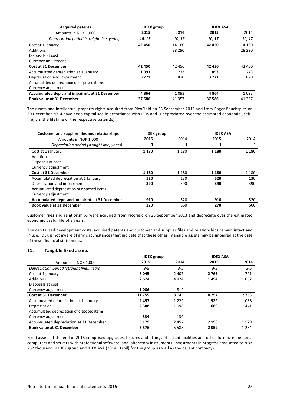| <b>Acquired patents</b>                        | <b>IDEX</b> group |          | <b>IDEX ASA</b> |          |
|------------------------------------------------|-------------------|----------|-----------------|----------|
| Amounts in NOK 1,000                           | 2015              | 2014     | 2015            | 2014     |
| Depreciation period (straight line, years)     | 10, 17            | 10, 17   | 10, 17          | 10, 17   |
| Cost at 1 january                              | 42 450            | 14 160   | 42 450          | 14 160   |
| <b>Additions</b>                               |                   | 28 290   |                 | 28 290   |
| Disposals at cost                              |                   |          |                 |          |
| Currency adjustment                            |                   |          |                 |          |
| <b>Cost at 31 December</b>                     | 42 450            | 42 450   | 42 450          | 42 450   |
| Accumulated depreciation at 1 January          | 1093              | 273      | 1093            | 273      |
| Depreciation and impairment                    | 3771              | 820      | 3771            | 820      |
| Accumulated depreciation of disposed items     |                   |          |                 |          |
| Currency adjustment                            |                   |          |                 |          |
| Accumulated depr. and impairmt. at 31 December | 4864              | 1093     | 4864            | 1093     |
| <b>Book value at 31 December</b>               | 37 586            | 41 3 5 7 | 37 586          | 41 3 5 7 |

The assets and intellectual property rights acquired from PicoField on 23 September 2013 and from Roger Bauchspies on 30 December 2014 have been capitalised in accordance with IFRS and is depreciated over the estimated economic useful life, viz. the lifetime of the respective patent(s).

| Customer and supplier files and relationships  | <b>IDEX</b> group |         | <b>IDEX ASA</b> |         |
|------------------------------------------------|-------------------|---------|-----------------|---------|
| Amounts in NOK 1,000                           | 2015              | 2014    | 2015            | 2014    |
| Depreciation period (straight line, years)     | 3                 | 3       | 3               | 3       |
| Cost at 1 january                              | 1 1 8 0           | 1 1 8 0 | 1 1 8 0         | 1 1 8 0 |
| Additions                                      |                   |         |                 |         |
| Disposals at cost                              |                   |         |                 |         |
| Currency adjustment                            |                   |         |                 |         |
| <b>Cost at 31 December</b>                     | 1 1 8 0           | 1 1 8 0 | 1 1 8 0         | 1 1 8 0 |
| Accumulated depreciation at 1 January          | 520               | 130     | 520             | 130     |
| Depreciation and impairment                    | 390               | 390     | 390             | 390     |
| Accumulated depreciation of disposed items     |                   |         |                 |         |
| Currency adjustment                            |                   |         |                 |         |
| Accumulated depr. and impairmt. at 31 December | 910               | 520     | 910             | 520     |
| <b>Book value at 31 December</b>               | 270               | 660     | 270             | 660     |

Customer files and relationships were acquired from Picofield on 23 September 2013 and depreciate over the estimated economic useful life of 3 years.

The capitalised development costs, acquired patents and customer and supplier files and relationships remain intact and in use. IDEX is not aware of any circumstances that indicate that these other intangible assets may be impaired at the date of these financial statements.

#### **11. Tangible fixed assets**

|                                                | <b>IDEX</b> group |         | <b>IDEX ASA</b> |         |
|------------------------------------------------|-------------------|---------|-----------------|---------|
| Amounts in NOK 1,000                           | 2015              | 2014    | 2015            | 2014    |
| Depreciation period (straight line), years     | $3 - 5$           | $3 - 5$ | $3 - 5$         | $3 - 5$ |
| Cost at 1 january                              | 8045              | 2 4 0 7 | 2763            | 1701    |
| <b>Additions</b>                               | 2624              | 4824    | 1494            | 1062    |
| Disposals at cost                              |                   |         |                 |         |
| Currency adjustment                            | 1086              | 814     |                 |         |
| <b>Cost at 31 December</b>                     | 11755             | 8045    | 4 2 5 7         | 2 7 6 3 |
| Accumulated depreciation at 1 January          | 2457              | 1 2 2 9 | 1529            | 1088    |
| Depreciation                                   | 2 3 8 8           | 1098    | 669             | 441     |
| Accumulated depreciation of disposed items     |                   |         |                 |         |
| Currency adjustment                            | 334               | 130     |                 |         |
| <b>Accumulated depreciation at 31 December</b> | 5 1 7 9           | 2457    | 2 1 9 8         | 1529    |
| <b>Book value at 31 December</b>               | 6576              | 5 5 8 8 | 2059            | 1 2 3 4 |

Fixed assets at the end of 2015 comprised upgrades, fixtures and fittings of leased facilities and office furniture, personal computers and servers with professional software, and laboratory instruments. Investments in progress amounted to NOK 252 thousand in IDEX group and IDEX ASA (2014: 0 (nil) for the group as well as the parent company).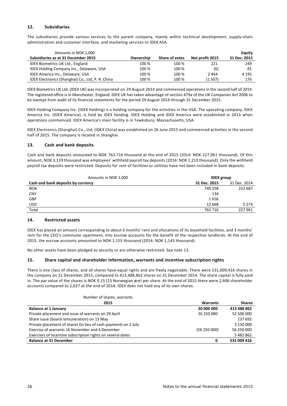# **12. Subsidiaries**

The subsidiaries provide various services to the parent company, mainly within technical development, supply-chain administration and customer interface, and marketing services to IDEX ASA.

| Amounts in NOK 1,000                              |           |                |                 | Equity       |
|---------------------------------------------------|-----------|----------------|-----------------|--------------|
| Subsidiaries as at 31 December 2015               | Ownership | Share of votes | Net profit 2015 | 31 Dec. 2015 |
| <b>IDEX Biometrics UK Ltd., England</b>           | 100 %     | 100 %          | 221             | 249          |
| <b>IDEX Holding Company Inc., Delaware, USA</b>   | 100 %     | 100 %          | (6)             | 81           |
| IDEX America Inc., Delaware, USA                  | 100 %     | 100 %          | 2444            | 4 1 9 5      |
| IDEX Electronics (Shanghai) Co., Ltd, P. R. China | 100 %     | 100 %          | (1507)          | 176          |

IDEX Biometrics UK Ltd. (IDEX UK) was incorporated on 29 August 2014 and commenced operations in the second half of 2014. The registered office is in Manchester, England. IDEX UK has taken advantage of section 479a of the UK Companies Act 2006 to be exempt from audit of its financial statements for the period 29 August 2014 through 31 December 2015.

IDEX Holding Company Inc. (IDEX Holding) is a holding company for the activities in the USA. The operating company, IDEX America Inc. (IDEX America), is held by IDEX Holding. IDEX Holding and IDEX America were established in 2013 when operations commenced. IDEX America's main facility is in Tewksbury, Massachusetts, USA.

IDEX Electronics (Shanghai) Co., Ltd. (IDEX China) was established on 26 June 2015 and commenced activities in the second half of 2015. The company is located in Shanghai.

# **13. Cash and bank deposits**

Cash and bank deposits amounted to NOK 763,716 thousand at the end of 2015 (2014: NOK 227,961 thousand). Of this amount, NOK 3,119 thousand was employees' withheld payroll tax deposits (2014: NOK 1,210 thousand). Only the withheld payroll tax deposits were restricted. Deposits for rent of facilities or utilities have not been included in bank deposits.

| Amounts in NOK 1,000               |              | <b>IDEX</b> group |  |  |
|------------------------------------|--------------|-------------------|--|--|
| Cash and bank deposits by currency | 31 Dec. 2015 | 31 Dec. 2014      |  |  |
| <b>NOK</b>                         | 749 258      | 222 687           |  |  |
| <b>CNY</b>                         | 134          |                   |  |  |
| GBP                                | 1656         |                   |  |  |
| USD                                | 12 6 68      | 5 2 7 4           |  |  |
| Total                              | 763 716      | 227 961           |  |  |

# **14. Restricted assets**

IDEX has placed an amount corresponding to about 6 months' rent and allocations of its leasehold facilities, and 3 months' rent for the CEO's commuter apartment, into escrow accounts for the benefit of the respective landlords. At the end of 2015, the escrow accounts amounted to NOK 1,155 thousand (2014: NOK 1,143 thousand).

No other assets have been pledged as security or are otherwise restricted. See note 13.

# **15. Share capital and shareholder information, warrants and incentive subscription rights**

There is one class of shares, and all shares have equal rights and are freely negotiable. There were 531,009,416 shares in the company on 31 December 2015, compared to 413,488,862 shares on 31 December 2014. The share capital is fully paid in. The par value of the shares is NOK 0.15 (15 Norwegian øre) per share. At the end of 2015 there were 2,606 shareholder accounts compared to 2,027 at the end of 2014. IDEX does not hold any of its own shares.

| Number of shares, warrants                                      |                 |               |
|-----------------------------------------------------------------|-----------------|---------------|
| 2015                                                            | <b>Warrants</b> | <b>Shares</b> |
| <b>Balance at 1 January</b>                                     | 30 000 000      | 413 488 862   |
| Private placement and issue of warrants on 29 April             | 26 250 000      | 52 500 000    |
| Share issue (board remuneration) on 13 May                      |                 | 137 692       |
| Private placement of shares (in lieu of cash payment) on 2 July |                 | 3 150 000     |
| Exercise of warrants 16 November and 4 December                 | (56250000)      | 56 250 000    |
| Exercises of incentive subscription rights on several dates     |                 | 5482862       |
| <b>Balance at 31 December</b>                                   | 0               | 531 009 416   |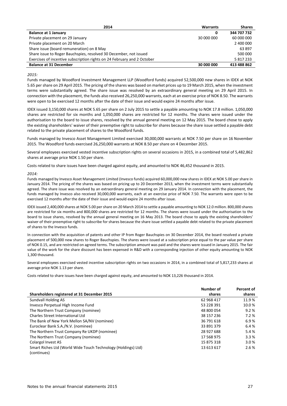| 2014                                                                    | <b>Warrants</b> | <b>Shares</b> |
|-------------------------------------------------------------------------|-----------------|---------------|
| <b>Balance at 1 January</b>                                             | 0               | 344 707 732   |
| Private placement on 29 January                                         | 30 000 000      | 60 000 000    |
| Private placement on 20 March                                           |                 | 2 400 000     |
| Share issue (board remuneration) on 8 May                               |                 | 63 897        |
| Share issue to Roger Bauchspies, resolved 30 December, not issued       |                 | 500 000       |
| Exercises of incentive subscription rights on 24 February and 2 October |                 | 5817233       |
| <b>Balance at 31 December</b>                                           | 30 000 000      | 413 488 862   |

#### *2015:*

Funds managed by Woodford Investment Management LLP (Woodford funds) acquired 52,500,000 new shares in IDEX at NOK 5.65 per share on 29 April 2015. The pricing of the shares was based on market prices up to 19 March 2015, when the investment terms were substantially agreed. The share issue was resolved by an extraordinary general meeting on 29 April 2015. In connection with the placement, the funds also received 26,250,000 warrants, each at an exercise price of NOK 8.50. The warrants were open to be exercised 12 months after the date of their issue and would expire 24 months after issue.

IDEX issued 3,150,000 shares at NOK 5.65 per share on 2 July 2015 to settle a payable amounting to NOK 17.8 million. 1,050,000 shares are restricted for six months and 1,050,000 shares are restricted for 12 months. The shares were issued under the authorisation to the board to issue shares, resolved by the annual general meeting on 12 May 2015. The board chose to apply the existing shareholders' waiver of their preemptive right to subscribe for shares because the share issue settled a payable debt related to the private placement of shares to the Woodford funds.

Funds managed by Invesco Asset Management Limited exercised 30,000,000 warrants at NOK 7.50 per share on 16 November 2015. The Woodford funds exercised 26,250,000 warrants at NOK 8.50 per share on 4 December 2015.

Several employees exercised vested incentive subscription rights on several occasions in 2015, in a combined total of 5,482,862 shares at average price NOK 1.50 per share.

Costs related to share issues have been charged against equity, and amounted to NOK 46,452 thousand in 2015.

#### *2014:*

Funds managed by Invesco Asset Management Limited (Invesco funds) acquired 60,000,000 new shares in IDEX at NOK 5.00 per share in January 2014. The pricing of the shares was based on pricing up to 20 December 2013, when the investment terms were substantially agreed. The share issue was resolved by an extraordinary general meeting on 29 January 2014. In connection with the placement, the funds managed by Invesco also received 30,000,000 warrants, each at an exercise price of NOK 7.50. The warrants were open to be exercised 12 months after the date of their issue and would expire 24 months after issue.

IDEX issued 2,400,000 shares at NOK 5.00 pershare on 20 March 2014 to settle a payable amounting to NOK 12.0 million. 800,000 shares are restricted for six months and 800,000 shares are restricted for 12 months. The shares were issued under the authorisation to the board to issue shares, resolved by the annual general meeting on 16 May 2013. The board chose to apply the existing shareholders' waiver of their preemptive right to subscribe for shares because the share issue settled a payable debt related to the private placement of shares to the Invesco funds.

In connection with the acquisition of patents and other IP from Roger Bauchspies on 30 December 2014, the board resolved a private placement of 500,000 new shares to Roger Bauchspies. The shares were issued at a subscription price equal to the par value per share of NOK 0.15, and are restricted on agreed terms. The subscription amount was paid and the shares were issued in January 2015. The fair value of the work for the share discount has been expensed in R&D with a corresponding injection of other equity amounting to NOK 1,300 thousand.

Several employees exercised vested incentive subscription rights on two occasions in 2014, in a combined total of 5,817,233 shares at average price NOK 1.13 per share.

Costs related to share issues have been charged against equity, and amounted to NOK 13,226 thousand in 2014.

|                                                                              | Number of  | Percent of |
|------------------------------------------------------------------------------|------------|------------|
| Shareholders registered at 31 December 2015                                  | shares     | shares     |
| Sundvall Holding AS                                                          | 62 968 417 | 11.9%      |
| Invesco Perpetual High Income Fund                                           | 53 228 391 | 10.0%      |
| The Northern Trust Company (nominee)                                         | 48 800 054 | 9.2%       |
| Charles Street International Ltd                                             | 38 157 236 | 7.2%       |
| The Bank of New York Mellon SA/NV (nominee)                                  | 36 791 618 | 6.9%       |
| Euroclear Bank S.A./N.V. (nominee)                                           | 33 891 379 | 6.4 %      |
| The Northern Trust Company Re UKDP (nominee)                                 | 28 927 688 | 5.4 %      |
| The Northern Trust Company (nominee)                                         | 17 568 975 | 3.3%       |
| Colargol Invest AS                                                           | 15 875 318 | 3.0%       |
| Smart Riches Ltd (World Wide Touch Technology (Holdings) Ltd)<br>(continues) | 13 613 617 | 2.6%       |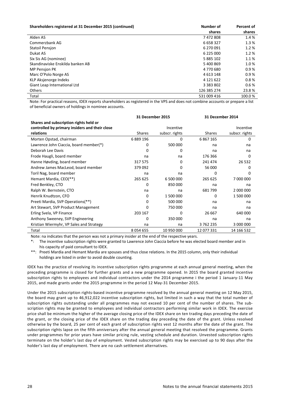| Shareholders registered at 31 December 2015 (continued) | Number of     | Percent of |
|---------------------------------------------------------|---------------|------------|
|                                                         | shares        | shares     |
| Alden AS                                                | 7472808       | 1.4 %      |
| Commerzbank AG                                          | 6 658 327     | 1.3%       |
| <b>Statoil Pensjon</b>                                  | 6 270 091     | 1.2%       |
| Dukat AS                                                | 6 225 000     | 1.2%       |
| Six Sis AG (nominee)                                    | 5 885 102     | 1.1%       |
| Skandinaviske Enskilda banken AB                        | 5 400 869     | 1.0%       |
| <b>MP Pension PK</b>                                    | 4770680       | 0.9%       |
| Marc O'Polo Norge AS                                    | 4 613 148     | 0.9%       |
| KLP Aksjenorge Indeks                                   | 4 121 622     | 0.8%       |
| Giant Leap International Ltd                            | 3 3 8 3 8 0 2 | 0.6%       |
| <b>Others</b>                                           | 126 385 274   | 23.8%      |
| Total                                                   | 531 009 416   | 100.0%     |

Note: For practical reasons, IDEX reports shareholders as registered in the VPS and does not combine accounts or prepare a list of beneficial owners of holdings in nominee accounts.

|                                                |               | <b>31 December 2015</b> |               | <b>31 December 2014</b> |
|------------------------------------------------|---------------|-------------------------|---------------|-------------------------|
| Shares and subscription rights held or         |               |                         |               |                         |
| controlled by primary insiders and their close |               | Incentive               |               | Incentive               |
| relations                                      | Shares        | subscr. rights          | Shares        | subscr. rights          |
| Morten Opstad, chairman                        | 6889196       | 0                       | 6 8 6 7 1 6 5 | 0                       |
| Lawrence John Ciaccia, board member(*)         | 0             | 500 000                 | na            | na                      |
| Deborah Lee Davis                              | 0             | 0                       | na            | na                      |
| Frode Haugli, board member                     | na            | na                      | 176 366       | $\Omega$                |
| Hanne Høvding, board member                    | 317 575       | 0                       | 241 474       | 26 5 32                 |
| Andrew James MacLeod, board member             | 379 092       | 0                       | 56 000        | 0                       |
| Toril Nag, board member                        | na            | na                      | 0             | O                       |
| Hemant Mardia, CEO(**)                         | 265 625       | 6 500 000               | 265 625       | 7 000 000               |
| Fred Benkley, CTO                              | 0             | 850 000                 | na            | na                      |
| Ralph W. Bernstein, CTO                        | na            | na                      | 681799        | 2 000 000               |
| Henrik Knudtzon, CFO                           | 0             | 1 500 000               | 0             | 1 500 000               |
| Preeti Mardia, SVP Operations(**)              | 0             | 500 000                 | na            | na                      |
| Art Stewart, SVP Product Management            | 0             | 750 000                 | na            | na                      |
| Erling Svela, VP Finance                       | 203 167       | $\Omega$                | 26 667        | 640 000                 |
| Anthony Sweeney, SVP Engineering               | 0             | 350 000                 | na            | na                      |
| Kristian Wiermyhr, VP Sales and Strategy       | na            | na                      | 3762235       | 3 000 000               |
| Total                                          | 8 0 5 4 6 5 5 | 10 950 000              | 12 077 331    | 14 166 532              |

Note: na indicates that the person was not a primary insider at the end of the respective years.

\*: The incentive subscription rights were granted to Lawrence John Ciaccia before he was elected board member and in his capacity of paid consultant to IDEX.

\*\*: Preeti Mardia and Hemant Mardia are spouses and thus close relations. In the 2015 column, only their individual holdings are listed in order to avoid double counting.

IDEX has the practice of revolving its incentive subscription rights programme at each annual general meeting, when the preceding programme is closed for further grants and a new programme opened. In 2015 the board granted incentive subscription rights to employees and individual contractors under the 2014 programme i the period 1 January-11 May 2015, and made grants under the 2015 programme in the period 12 May-31 December 2015.

Under the 2015 subscription rights-based incentive programme resolved by the annual general meeting on 12 May 2015, the board may grant up to 46,912,022 incentive subscription rights, but limited in such a way that the total number of subscription rights outstanding under all programmes may not exceed 10 per cent of the number of shares. The subscription rights may be granted to employees and individual contractors performing similar work in IDEX. The exercise price shall be minimum the higher of the average closing price of the IDEX share on ten trading days preceding the date of the grant, or the closing price of the IDEX share on the trading day preceding the date of the grant. Unless resolved otherwise by the board, 25 per cent of each grant of subscription rights vest 12 months after the date of the grant. The subscription rights lapse on the fifth anniversary after the annual general meeting that resolved the programme. Grants under programmes for prior years have similar pricing rule, vesting schedule and duration. Unvested subscription rights terminate on the holder's last day of employment. Vested subscription rights may be exercised up to 90 days after the holder's last day of employment. There are no cash settlement alternatives.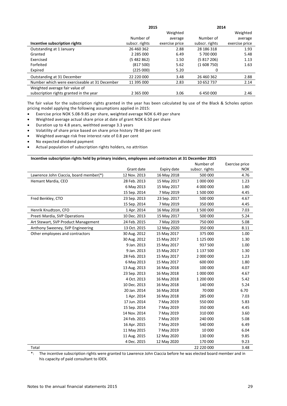|                                               | 2015            |                | 2014           |                |
|-----------------------------------------------|-----------------|----------------|----------------|----------------|
|                                               |                 | Weighted       |                | Weighted       |
|                                               | Number of       | average        | Number of      | average        |
| Incentive subscription rights                 | subscr. rights  | exercise price | subscr. rights | exercise price |
| Outstanding at 1 January                      | 26 460 362      | 2.88           | 28 186 318     | 1.93           |
| Granted                                       | 2 2 8 5 0 0 0 0 | 6.49           | 5 700 000      | 5.48           |
| Exercised                                     | (5482862)       | 1.50           | (5817206)      | 1.13           |
| Forfeited                                     | (817500)        | 5.62           | (1608750)      | 1.63           |
| Expired                                       | (225000)        | 5.20           | 0              |                |
| Outstanding at 31 December                    | 22 220 000      | 3.48           | 26 460 362     | 2.88           |
| Number which were exerciseable at 31 December | 11 395 000      | 2.83           | 10 652 737     | 2.14           |
| Weighted average fair value of                |                 |                |                |                |
| subscription rights granted in the year       | 2 3 6 5 0 0 0 0 | 3.06           | 6450000        | 2.46           |

The fair value for the subscription rights granted in the year has been calculated by use of the Black & Scholes option pricing model applying the following assumptions applied in 2015:

- Exercise price NOK 5.08-9.85 per share, weighted average NOK 6.49 per share
- Weighted average actual share price at date of grant NOK 6.50 per share
- Duration up to 4.8 years, weithted average 3.3 years
- Volatility of share price based on share price history 78-60 per cent
- x Weighted average risk free interest rate of 0.8 per cent
- No expected dividend payment
- **•** Actual population of subscription rights holders, no attrition

| Incentive subscription rights held by primary insiders, employees and contractors at 31 December 2015 |              |              |                |                |  |  |
|-------------------------------------------------------------------------------------------------------|--------------|--------------|----------------|----------------|--|--|
|                                                                                                       |              |              | Number of      | Exercise price |  |  |
|                                                                                                       | Grant date   | Expiry date  | subscr. rights | <b>NOK</b>     |  |  |
| Lawrence John Ciaccia, board member(*)                                                                | 12 Nov. 2013 | 16 May 2018  | 500 000        | 4.76           |  |  |
| Hemant Mardia, CEO                                                                                    | 28 Feb. 2013 | 15 May 2017  | 1 000 000      | 1.23           |  |  |
|                                                                                                       | 6 May 2013   | 15 May 2017  | 4 000 000      | 1.80           |  |  |
|                                                                                                       | 15 Sep. 2014 | 7 May 2019   | 1 500 000      | 4.45           |  |  |
| Fred Benkley, CTO                                                                                     | 23 Sep. 2013 | 23 Sep. 2017 | 500 000        | 4.67           |  |  |
|                                                                                                       | 15 Sep. 2014 | 7 May 2019   | 350 000        | 4.45           |  |  |
| Henrik Knudtzon, CFO                                                                                  | 1 Apr. 2014  | 16 May 2018  | 1500000        | 7.03           |  |  |
| Preeti Mardia, SVP Operations                                                                         | 10 Dec. 2013 | 15 May 2017  | 500 000        | 5.24           |  |  |
| Art Stewart, SVP Product Management                                                                   | 24 Feb. 2015 | 7 May 2019   | 750 000        | 5.08           |  |  |
| Anthony Sweeney, SVP Engineering                                                                      | 13 Oct. 2015 | 12 May 2020  | 350 000        | 8.11           |  |  |
| Other employees and contractors                                                                       | 30 Aug. 2012 | 15 May 2017  | 375 000        | 1.00           |  |  |
|                                                                                                       | 30 Aug. 2012 | 15 May 2017  | 1 1 2 5 0 0 0  | 1.30           |  |  |
|                                                                                                       | 9 Jan. 2013  | 15 May 2017  | 937 500        | 1.00           |  |  |
|                                                                                                       | 9 Jan. 2013  | 15 May 2017  | 1 137 500      | 1.30           |  |  |
|                                                                                                       | 28 Feb. 2013 | 15 May 2017  | 2 000 000      | 1.23           |  |  |
|                                                                                                       | 6 May 2013   | 15 May 2017  | 600 000        | 1.80           |  |  |
|                                                                                                       | 13 Aug. 2013 | 16 May 2018  | 100 000        | 4.07           |  |  |
|                                                                                                       | 23 Sep. 2013 | 16 May 2018  | 1 000 000      | 4.67           |  |  |
|                                                                                                       | 4 Oct. 2013  | 16 May 2018  | 1 200 000      | 5.42           |  |  |
|                                                                                                       | 10 Dec. 2013 | 16 May 2018  | 140 000        | 5.24           |  |  |
|                                                                                                       | 20 Jan. 2014 | 16 May 2018  | 70 000         | 6.70           |  |  |
|                                                                                                       | 1 Apr. 2014  | 16 May 2018  | 285 000        | 7.03           |  |  |
|                                                                                                       | 17 Jun. 2014 | 7 May 2019   | 550 000        | 5.83           |  |  |
|                                                                                                       | 15 Sep. 2014 | 7 May 2019   | 350 000        | 4.45           |  |  |
|                                                                                                       | 14 Nov. 2014 | 7 May 2019   | 310 000        | 3.60           |  |  |
|                                                                                                       | 24 Feb. 2015 | 7 May 2019   | 240 000        | 5.08           |  |  |
|                                                                                                       | 16 Apr. 2015 | 7 May 2019   | 540 000        | 6.49           |  |  |
|                                                                                                       | 11 May 2015  | 7 May 2019   | 10 000         | 6.04           |  |  |
|                                                                                                       | 11 Aug. 2015 | 12 May 2020  | 130 000        | 9.85           |  |  |
|                                                                                                       | 4 Dec. 2015  | 12 May 2020  | 170 000        | 9.23           |  |  |
| Total                                                                                                 |              |              | 22 220 000     | 3.48           |  |  |

\*: The incentive subscription rights were granted to Lawrence John Ciaccia before he was elected board member and in his capacity of paid consultant to IDEX.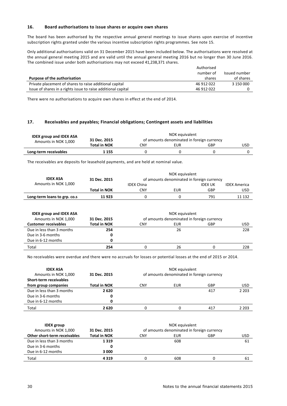#### **16. Board authorisations to issue shares or acquire own shares**

The board has been authorised by the respective annual general meetings to issue shares upon exercise of incentive subscription rights granted under the various incentive subscription rights programmes. See note 15.

Only additional authorisations valid on 31 December 2015 have been included below. The authorisations were resolved at the annual general meeting 2015 and are valid until the annual general meeting 2016 but no longer than 30 June 2016. The combined issue under both authorisations may not exceed 41,238,371 shares.

|                                                               | Authorised |               |
|---------------------------------------------------------------|------------|---------------|
|                                                               | number of  | Issued number |
| Purpose of the authorisation                                  | shares     | of shares     |
| Private placement of shares to raise additional capital       | 46 912 022 | 3 150 000     |
| Issue of shares in a rights issue to raise additional capital | 46 912 022 |               |

There were no authorisations to acquire own shares in effect at the end of 2014.

# **17. Receivables and payables; Financial obligations; Contingent assets and liabilities**

| <b>IDEX group and IDEX ASA</b><br>Amounts in NOK 1,000 | NOK equivalent<br>of amounts denominated in foreign currency<br>31 Dec. 2015 |     |     |     |     |
|--------------------------------------------------------|------------------------------------------------------------------------------|-----|-----|-----|-----|
|                                                        | <b>Total in NOK</b>                                                          | CNY | EUR | GBP | USD |
| Long-term receivables                                  | 1 155                                                                        |     |     |     |     |

The receivables are deposits for leasehold payments, and are held at nominal value.

|                              |                     |                                            | NOK equivalent |                |                     |
|------------------------------|---------------------|--------------------------------------------|----------------|----------------|---------------------|
| <b>IDEX ASA</b>              | 31 Dec. 2015        | of amounts denominated in foreign currency |                |                |                     |
| Amounts in NOK 1,000         |                     | <b>IDEX China</b>                          |                | <b>IDEX UK</b> | <b>IDEX America</b> |
|                              | <b>Total in NOK</b> | CNY                                        | EUR            | GBP            | USD                 |
| Long-term loans to grp. co.s | 11923               |                                            |                | 791            | 11 132              |

| <b>IDEX group and IDEX ASA</b> | NOK equivalent      |                                            |     |     |     |  |
|--------------------------------|---------------------|--------------------------------------------|-----|-----|-----|--|
| Amounts in NOK 1,000           | 31 Dec. 2015        | of amounts denominated in foreign currency |     |     |     |  |
| <b>Customer receivables</b>    | <b>Total in NOK</b> | CNY                                        | EUR | GBP | USD |  |
| Due in less than 3 months      | 254                 |                                            | 26  |     | 228 |  |
| Due in 3-6 months              | 0                   |                                            |     |     |     |  |
| Due in 6-12 months             |                     |                                            |     |     |     |  |
| Total                          | 254                 |                                            | 26  |     | 228 |  |

No receivables were overdue and there were no accruals for losses or potential losses at the end of 2015 or 2014.

| <b>IDEX ASA</b><br>Amounts in NOK 1,000<br>Short-term receivables | 31 Dec. 2015        | NOK equivalent<br>of amounts denominated in foreign currency |     |     |            |
|-------------------------------------------------------------------|---------------------|--------------------------------------------------------------|-----|-----|------------|
| from group companies                                              | <b>Total in NOK</b> | CNY                                                          | EUR | GBP | <b>USD</b> |
| Due in less than 3 months                                         | 2620                |                                                              |     | 417 | 2 2 0 3    |
| Due in 3-6 months                                                 | 0                   |                                                              |     |     |            |
| Due in 6-12 months                                                | 0                   |                                                              |     |     |            |
| Total                                                             | 2620                |                                                              |     | 417 | 2 2 0 3    |

| <b>IDEX</b> group            | NOK equivalent      |                                            |     |            |     |  |
|------------------------------|---------------------|--------------------------------------------|-----|------------|-----|--|
| Amounts in NOK 1,000         | 31 Dec. 2015        | of amounts denominated in foreign currency |     |            |     |  |
| Other short-term receivables | <b>Total in NOK</b> | CNY                                        | EUR | <b>GBP</b> | USD |  |
| Due in less than 3 months    | 1319                |                                            | 608 |            | 61  |  |
| Due in 3-6 months            | o                   |                                            |     |            |     |  |
| Due in 6-12 months           | 3 000               |                                            |     |            |     |  |
| Total                        | 4319                |                                            | 608 |            | 61  |  |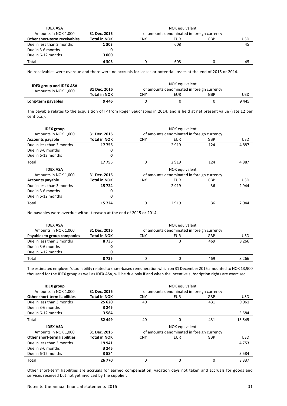| <b>IDEX ASA</b>              | NOK equivalent      |                                            |     |     |     |  |
|------------------------------|---------------------|--------------------------------------------|-----|-----|-----|--|
| Amounts in NOK 1,000         | 31 Dec. 2015        | of amounts denominated in foreign currency |     |     |     |  |
| Other short-term receivables | <b>Total in NOK</b> | CNY                                        | EUR | GBP | USD |  |
| Due in less than 3 months    | 1 3 0 3             |                                            | 608 |     | 45  |  |
| Due in 3-6 months            |                     |                                            |     |     |     |  |
| Due in 6-12 months           | 3 000               |                                            |     |     |     |  |
| Total                        | 4303                |                                            | 608 |     | 45  |  |

No receivables were overdue and there were no accruals for losses or potential losses at the end of 2015 or 2014.

| <b>IDEX group and IDEX ASA</b> | NOK equivalent      |                                            |     |     |      |  |
|--------------------------------|---------------------|--------------------------------------------|-----|-----|------|--|
| Amounts in NOK 1,000           | 31 Dec. 2015        | of amounts denominated in foreign currency |     |     |      |  |
|                                | <b>Total in NOK</b> | CNY                                        | EUR | GBP | USD  |  |
| Long-term payables             | 9445                |                                            |     |     | 9445 |  |

The payable relates to the acquisition of IP from Roger Bauchspies in 2014, and is held at net present value (rate 12 per cent p.a.).

| <b>IDEX</b> group         | NOK equivalent      |                                            |                                            |     |            |
|---------------------------|---------------------|--------------------------------------------|--------------------------------------------|-----|------------|
| Amounts in NOK 1,000      | 31 Dec. 2015        |                                            | of amounts denominated in foreign currency |     |            |
| <b>Accounts payable</b>   | <b>Total in NOK</b> | <b>CNY</b>                                 | <b>EUR</b>                                 | GBP | <b>USD</b> |
| Due in less than 3 months | 17755               |                                            | 2919                                       | 124 | 4887       |
| Due in 3-6 months         | 0                   |                                            |                                            |     |            |
| Due in 6-12 months        | 0                   |                                            |                                            |     |            |
| Total                     | 17755               | 0                                          | 2919                                       | 124 | 4887       |
| <b>IDEX ASA</b>           |                     |                                            | NOK equivalent                             |     |            |
| Amounts in NOK 1,000      | 31 Dec. 2015        | of amounts denominated in foreign currency |                                            |     |            |
| <b>Accounts payable</b>   | <b>Total in NOK</b> | <b>CNY</b>                                 | <b>EUR</b>                                 | GBP | <b>USD</b> |
| Due in less than 3 months | 15724               |                                            | 2919                                       | 36  | 2 9 4 4    |
| Due in 3-6 months         | 0                   |                                            |                                            |     |            |
| Due in 6-12 months        | 0                   |                                            |                                            |     |            |
| Total                     | 15724               | 0                                          | 2919                                       | 36  | 2 9 4 4    |

No payables were overdue without reason at the end of 2015 or 2014.

| <b>IDEX ASA</b>             | NOK equivalent      |                                            |     |     |         |  |
|-----------------------------|---------------------|--------------------------------------------|-----|-----|---------|--|
| Amounts in NOK 1,000        | 31 Dec. 2015        | of amounts denominated in foreign currency |     |     |         |  |
| Payables to group companies | <b>Total in NOK</b> | CNY                                        | EUR | GBP | USD     |  |
| Due in less than 3 months   | 8735                |                                            |     | 469 | 8 2 6 6 |  |
| Due in 3-6 months           | 0                   |                                            |     |     |         |  |
| Due in 6-12 months          |                     |                                            |     |     |         |  |
| Total                       | 8735                |                                            |     | 469 | 8 2 6 6 |  |

The estimated employer's tax liability related to share-based remuneration which on 31 December 2015 amounted to NOK 13,900 thousand for the IDEX group as well as IDEX ASA, will be due only if and when the incentive subscription rights are exercised.

| <b>IDEX</b> group                   |                     |                                            | NOK equivalent                             |            |            |  |
|-------------------------------------|---------------------|--------------------------------------------|--------------------------------------------|------------|------------|--|
| Amounts in NOK 1,000                | 31 Dec. 2015        |                                            | of amounts denominated in foreign currency |            |            |  |
| <b>Other short-term liabilities</b> | <b>Total in NOK</b> | <b>CNY</b>                                 | <b>EUR</b>                                 | <b>GBP</b> | <b>USD</b> |  |
| Due in less than 3 months           | 25 6 20             | 40                                         |                                            | 431        | 9961       |  |
| Due in 3-6 months                   | 3 2 4 5             |                                            |                                            |            |            |  |
| Due in 6-12 months                  | 3584                |                                            |                                            |            | 3 5 8 4    |  |
| Total                               | 32 449              | 40                                         | $\Omega$                                   | 431        | 13 5 45    |  |
| <b>IDEX ASA</b>                     |                     |                                            | NOK equivalent                             |            |            |  |
| Amounts in NOK 1,000                | 31 Dec. 2015        | of amounts denominated in foreign currency |                                            |            |            |  |
| <b>Other short-term liabilities</b> | <b>Total in NOK</b> | <b>CNY</b>                                 | <b>EUR</b>                                 | GBP        | <b>USD</b> |  |
| Due in less than 3 months           | 19941               |                                            |                                            |            | 4 7 5 3    |  |
| Due in 3-6 months                   | 3 2 4 5             |                                            |                                            |            |            |  |
| Due in 6-12 months                  | 3584                |                                            |                                            |            | 3584       |  |
|                                     |                     |                                            |                                            |            |            |  |

Other short-term liabilities are accruals for earned compensation, vacation days not taken and accruals for goods and services received but not yet invoiced by the supplier.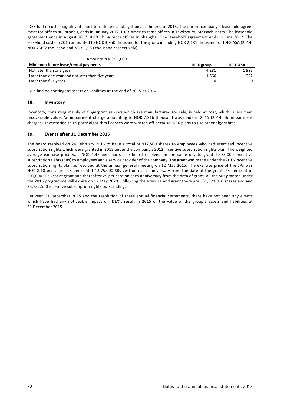IDEX had no other significant short-term financial obligations at the end of 2015. The parent company's leasehold agreement for offices at Fornebu, ends in January 2017. IDEX America rents offices in Tewksbury, Massachusetts. The leasehold agreement ends in August 2017. IDEX China rents offices in Shanghai. The leasehold agreement ends in June 2017. The leasehold costs in 2015 amounted to NOK 3,950 thousand for the group including NOK 2,181 thousand for IDEX ASA (2014: NOK 2,452 thousand and NOK 1,583 thousand respectively).

#### Amounts in NOK 1,000

| <b>IDEX</b> group | <b>IDEX ASA</b> |
|-------------------|-----------------|
| 4 281             | 1993            |
| 1666              | 222             |
|                   |                 |
|                   |                 |

IDEX had no contingent assets or liabilities at the end of 2015 or 2014.

#### **18. Inventory**

Inventory, consisting mainly of fingerprint sensors which are manufactured for sale, is held at cost, which is less than recoverable value. An impairment charge amounting to NOK 7,916 thousand was made in 2015 (2014: No impairment charges). Inventoried third-party algorithm licences were written off because IDEX plans to use other algorithms.

#### **19. Events after 31 December 2015**

The board resolved on 26 February 2016 to issue a total of 912,500 shares to employees who had exercised incentive subscription rights which were granted in 2013 under the company's 2012 incentive subscription rights plan. The weighted average exercise price was NOK 1.47 per share. The board resolved on the same day to grant 2,475,000 incentive subscription rights (SRs) to employees and a service provider of the company. The grant was made under the 2015 incentive subscription rights plan as resolved at the annual general meeting on 12 May 2015. The exercise price of the SRs was NOK 8.10 per share. 25 per centof 1,975,000 SRs vest on each anniversary from the date of the grant. 25 per cent of 500,000 SRs vest at grant and thereafter 25 per cent on each anniversary from the data of grant. All the SRs granted under the 2015 programme will expire on 12 May 2020. Following the exercise and grant there are 531,921,916 shares and and 23,782,500 incentive subscription rights outstanding.

Between 31 December 2015 and the resolution of these annual financial statements, there have not been any events which have had any noticeable impact on IDEX's result in 2015 or the value of the group's assets and liabilities at 31 December 2015.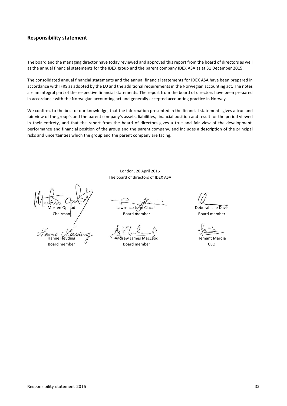# **Responsibility statement**

The board and the managing director have today reviewed and approved this report from the board of directors as well as the annual financial statements for the IDEX group and the parent company IDEX ASA as at 31 December 2015.

The consolidated annual financial statements and the annual financial statements for IDEX ASA have been prepared in accordance with IFRS as adopted by the EU and the additional requirements in the Norwegian accounting act. The notes are an integral part of the respective financial statements. The report from the board of directors have been prepared in accordance with the Norwegian accounting act and generally accepted accounting practice in Norway.

We confirm, to the best of our knowledge, that the information presented in the financial statements gives a true and fair view of the group's and the parent company's assets, liabilities, financial position and result for the period viewed in their entirety, and that the report from the board of directors gives a true and fair view of the development, performance and financial position of the group and the parent company, and includes a description of the principal risks and uncertainties which the group and the parent company are facing.

> London, 20 April 2016 The board of directors of IDEX ASA

Morten Opstad / Cawrence John Ciaccia Charles Deborah Lee Davis Chairman Board member Board member

Hanne Høvding and Andrew James MacLeod Hemant Mardia Board member  $\overline{a}$  Board member CEO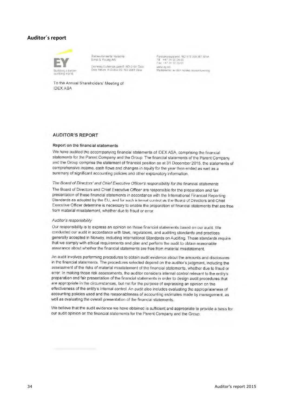# **Auditor´s report**



Statsaufonserte revisorer Ernst & Young AS

Droming Eufemas gate 6 NO-0191 Oslo Oslo Atrium P.O.Box 20, NO-0051 Oslo

Foretaksregisteret: NCFIF/5 389 387 MVA<br>TIf + +47 24 00 24 00<br>Fax +47 24 00 29 01 www.ey.no Mediemmer av den norske revisorforening

To the Annual Shareholders' Meeting of **IDEX ASA** 

# **AUDITOR'S REPORT**

#### Report on the financial statements

We have audited the accompanying financial statements of IDEX ASA, comprising the financial statements for the Parent Company and the Group. The financial statements of the Parent Company and the Group comprise the statement of financial position as at 31 December 2015, the statements of comprehensive income, cash flows and changes in equity for the year then ended as well as a summary of significant accounting policies and other explanatory information.

# The Board of Directors' and Chief Executive Officer's responsibility for the financial statements

The Board of Directors and Chief Executive Officer are responsible for the preparation and fair presentation of these financial statements in accordance with the International Financial Reporting Standards as adopted by the EU, and for such internal control as the Board of Directors and Chief Executive Officer determine is necessary to enable the preparation of financial statements that are free from material misstatement, whether due to fraud or error.

#### Auditor's responsibility

Our responsibility is to express an opinion on these financial statements based on our audit. We conducted our audit in accordance with laws, regulations, and auditing standards and practices generally accepted in Norway, including International Standards on Auditing. Those standards require that we comply with ethical requirements and plan and perform the audit to obtain reasonable assurance about whether the financial statements are free from material misstatement.

An audit involves performing procedures to obtain audit evidence about the amounts and disclosures in the financial statements. The procedures selected depend on the auditor's judgment, including the assessment of the risks of material misstatement of the financial statements, whether due to fraud or error. In making those risk assessments, the auditor considers internal control relevant to the entity's preparation and fair presentation of the financial statements in order to design audit procedures that are appropriate in the circumstances, but not for the purpose of expressing an opinion on the effectiveness of the entity's internal control. An audit also includes evaluating the appropriateness of accounting policies used and the reasonableness of accounting estimates made by management, as well as evaluating the overall presentation of the financial statements.

We believe that the audit evidence we have obtained is sufficient and appropriate to provide a basis for our audit opinion on the financial statements for the Parent Company and the Group.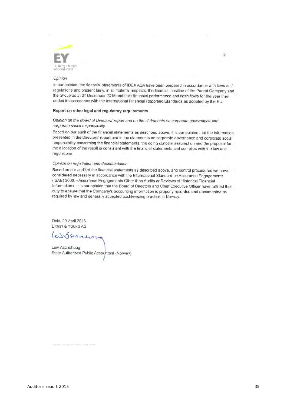

#### Opinion

In our opinion, the financial statements of IDEX ASA have been prepared in accordance with laws and regulations and present fairly, in all material respects, the financial position of the Parent Company and the Group as at 31 December 2015 and their financial performance and cash flows for the year then ended in accordance with the International Financial Reporting Standards as adopted by the EU.

 $\overline{2}$ 

#### Report on other legal and regulatory requirements

# Opinion on the Board of Directors' report and on the statements on corporate governance and corporate social responsibility

Based on our audit of the financial statements as described above, it is our opinion that the information presented in the Directors' report and in the statements on corporate governance and corporate social responsibility concerning the financial statements, the going concern assumption and the proposal for the allocation of the result is consistent with the financial statements and complies with the law and requlations

# Opinion on registration and documentation

Based on our audit of the financial statements as described above, and control procedures we have considered necessary in accordance with the International Standard on Assurance Engagements (ISAE) 3000, «Assurance Engagements Other than Audits or Reviews of Historical Financial Information», it is our opinion that the Board of Directors and Chief Executive Officer have fulfilled their duty to ensure that the Company's accounting information is properly recorded and documented as required by law and generally accepted bookkeeping practice in Norway.

Oslo, 20 April 2016 **ERNST & YOUNG AS** 

LuisSerrenor

Leiv Aschehoug State Authorised Public Accountant (Norway)

the firm of Frust & Young Global Limite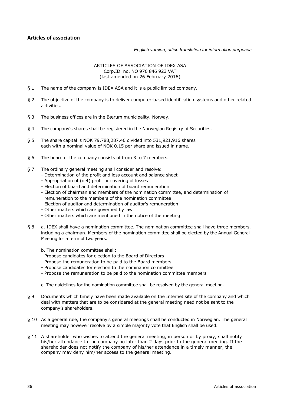# **Articles of association**

#### *English version, office translation for information purposes.*

# ARTICLES OF ASSOCIATION OF IDEX ASA Corp.ID. no. NO 976 846 923 VAT (last amended on 26 February 2016)

- § 1 The name of the company is IDEX ASA and it is a public limited company.
- § 2 The objective of the company is to deliver computer-based identification systems and other related activities.
- § 3 The business offices are in the Bærum municipality, Norway.
- § 4 The company's shares shall be registered in the Norwegian Registry of Securities.
- § 5 The share capital is NOK 79,788,287.40 divided into 531,921,916 shares each with a nominal value of NOK 0.15 per share and issued in name.
- § 6 The board of the company consists of from 3 to 7 members.
- § 7 The ordinary general meeting shall consider and resolve:
	- Determination of the profit and loss account and balance sheet
	- Appropriation of (net) profit or covering of losses
	- Election of board and determination of board remuneration
	- Election of chairman and members of the nomination committee, and determination of remuneration to the members of the nomination committee
	- Election of auditor and determination of auditor's remuneration
	- Other matters which are governed by law
	- Other matters which are mentioned in the notice of the meeting
- § 8 a. IDEX shall have a nomination committee. The nomination committee shall have three members, including a chairman. Members of the nomination committee shall be elected by the Annual General Meeting for a term of two years.
	- b. The nomination committee shall:
	- Propose candidates for election to the Board of Directors
	- Propose the remuneration to be paid to the Board members
	- Propose candidates for election to the nomination committee
	- Propose the remuneration to be paid to the nomination committee members
	- c. The guidelines for the nomination committee shall be resolved by the general meeting.
- § 9 Documents which timely have been made available on the Internet site of the company and which deal with matters that are to be considered at the general meeting need not be sent to the company's shareholders.
- § 10 As a general rule, the company's general meetings shall be conducted in Norwegian. The general meeting may however resolve by a simple majority vote that English shall be used.
- § 11 A shareholder who wishes to attend the general meeting, in person or by proxy, shall notify his/her attendance to the company no later than 2 days prior to the general meeting. If the shareholder does not notify the company of his/her attendance in a timely manner, the company may deny him/her access to the general meeting.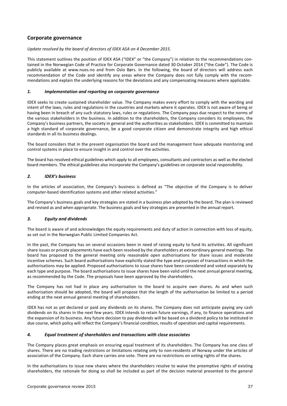# **Corporate governance**

# *Update resolved by the board of directors of IDEX ASA on 4 December 2015.*

This statement outlines the position of IDEX ASA ("IDEX" or "the Company") in relation to the recommendations contained in the Norwegian Code of Practice for Corporate Governance dated 30 October 2014 ("the Code"). The Code is publicly available at www.nues.no and from Oslo Børs. In the following, the board of directors will address each recommendation of the Code and identify any areas where the Company does not fully comply with the recommendations and explain the underlying reasons for the deviations and any compensating measures where applicable.

# *1. Implementation and reporting on corporate governance*

IDEX seeks to create sustained shareholder value. The Company makes every effort to comply with the wording and intent of the laws, rules and regulations in the countries and markets where it operates. IDEX is not aware of being or having been in breach of any such statutory laws, rules or regulations. The Company pays due respect to the norms of the various stakeholders in the business. In addition to the shareholders, the Company considers its employees, the Company's business partners, the society in general and the authorities as stakeholders. IDEX is committed to maintain a high standard of corporate governance, be a good corporate citizen and demonstrate integrity and high ethical standards in all its business dealings.

The board considers that in the present organisation the board and the management have adequate monitoring and control systems in place to ensure insight in and control over the activities.

The board has resolved ethical guidelines which apply to all employees, consultants and contractors as well as the elected board members. The ethical guidelines also incorporate the Company's guidelines on corporate social responsibility.

# *2. IDEX's business*

In the articles of association, the Company's business is defined as "The objective of the Company is to deliver computer-based identification systems and other related activities."

The Company's business goals and key strategies are stated in a business plan adopted by the board. The plan is reviewed and revised as and when appropriate. The business goals and key strategies are presented in the annual report.

# *3. Equity and dividends*

The board is aware of and acknowledges the equity requirements and duty of action in connection with loss of equity, as set out in the Norwegian Public Limited Companies Act.

In the past, the Company has on several occasions been in need of raising equity to fund its activities. All significant share issues or pricate placements have each been resolved by the shareholders at extraordinary general meetings. The board has proposed to the general meeting only reasonable open authorisations for share issues and moderate incentive schemes. Such board authorisations have explicitly stated the type and purposes of transactions in which the authorisations may be applied. Proposed authorisations to issue shares have been considered and voted separately by each type and purpose. The board authorisations to issue shares have been valid until the next annual general meeting, as recommended by the Code. The proposals have been approved by the shareholders.

The Company has not had in place any authorisation to the board to acquire own shares. As and when such authorisation should be adopted, the board will propose that the length of the authorisation be limited to a period ending at the next annual general meeting of shareholders.

IDEX has not as yet declared or paid any dividends on its shares. The Company does not anticipate paying any cash dividends on its shares in the next few years. IDEX intends to retain future earnings, if any, to finance operations and the expansion of its business. Any future decision to pay dividends will be based on a dividend policy to be instituted in due course, which policy will reflect the Company's financial condition, results of operation and capital requirements.

# *4. Equal treatment of shareholders and transactions with close associates*

The Company places great emphasis on ensuring equal treatment of its shareholders. The Company has one class of shares. There are no trading restrictions or limitations relating only to non-residents of Norway under the articles of association of the Company. Each share carries one vote. There are no restrictions on voting rights of the shares.

In the authorisations to issue new shares where the shareholders resolve to waive the preemptive rights of existing shareholders, the rationale for doing so shall be included as part of the decision material presented to the general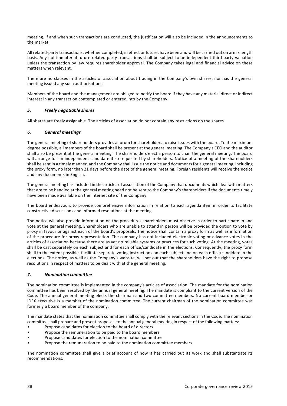meeting. If and when such transactions are conducted, the justification will also be included in the announcements to the market.

All related-party transactions, whether completed, in effect or future, have been and will be carried out on arm's length basis. Any not immaterial future related-party transactions shall be subject to an independent third-party valuation unless the transaction by law requires shareholder approval. The Company takes legal and financial advice on these matters when relevant.

There are no clauses in the articles of association about trading in the Company's own shares, nor has the general meeting issued any such authorisations.

Members of the board and the management are obliged to notify the board if they have any material direct or indirect interest in any transaction contemplated or entered into by the Company.

# *5. Freely negotiable shares*

All shares are freely assignable. The articles of association do not contain any restrictions on the shares.

#### *6. General meetings*

The general meeting of shareholders provides a forum for shareholders to raise issues with the board. To the maximum degree possible, all members of the board shall be present at the general meeting. The Company's CEO and the auditor shall also be present at the general meeting. The shareholders elect a person to chair the general meeting. The board will arrange for an independent candidate if so requested by shareholders. Notice of a meeting of the shareholders shall be sent in a timely manner, and the Company shall issue the notice and documents for a general meeting, including the proxy form, no later than 21 days before the date of the general meeting. Foreign residents will receive the notice and any documents in English.

The general meeting has included in the articles of association of the Company that documents which deal with matters that are to be handled at the general meeting need not be sent to the Company's shareholders if the documents timely have been made available on the Internet site of the Company.

The board endeavours to provide comprehensive information in relation to each agenda item in order to facilitate constructive discussions and informed resolutions at the meeting.

The notice will also provide information on the procedures shareholders must observe in order to participate in and vote at the general meeting. Shareholders who are unable to attend in person will be provided the option to vote by proxy in favour or against each of the board's proposals. The notice shall contain a proxy form as well as information of the procedure for proxy representation. The company has not included electronic voting or advance votes in the articles of association because there are as yet no reliable systems or practices for such voting. At the meeting, votes shall be cast separately on each subject and for each office/candidate in the elections. Consequently, the proxy form shall to the extent possible, facilitate separate voting instructions on each subject and on each office/candidate in the elections. The notice, as well as the Company's website, will set out that the shareholders have the right to propose resolutions in respect of matters to be dealt with at the general meeting.

#### *7. Nomination committee*

The nomination committee is implemented in the company's articles of association. The mandate for the nomination committee has been resolved by the annual general meeting. The mandate is compliant to the current version of the Code. The annual general meeting elects the chairman and two committee members. No current board member or IDEX executive is a member of the nomination committee. The current chairman of the nomination committee was formerly a board member of the company.

The mandate states that the nomination committee shall comply with the relevant sections in the Code. The nomination committee shall prepare and present proposals to the annual general meeting in respect of the following matters:

- Propose candidates for election to the board of directors
- Propose the remuneration to be paid to the board members
- Propose candidates for election to the nomination committee
- Propose the remuneration to be paid to the nomination committee members

The nomination committee shall give a brief account of how it has carried out its work and shall substantiate its recommendations.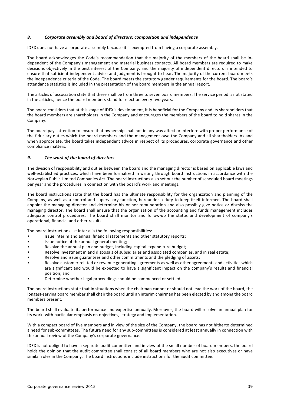#### *8. Corporate assembly and board of directors; composition and independence*

IDEX does not have a corporate assembly because it is exempted from having a corporate assembly.

The board acknowledges the Code's recommendation that the majority of the members of the board shall be independent of the Company's management and material business contacts. All board members are required to make decisions objectively in the best interest of the Company, and the majority of independent directors is intended to ensure that sufficient independent advice and judgment is brought to bear. The majority of the current board meets the independence criteria of the Code. The board meets the statutory gender requirements for the board. The board's attendance statistics is included in the presentation of the board members in the annual report.

The articles of association state that there shall be from three to seven board members. The service period is not stated in the articles, hence the board members stand for election every two years.

The board considers that at this stage of IDEX's development, it is beneficial for the Company and its shareholders that the board members are shareholders in the Company and encourages the members of the board to hold shares in the Company.

The board pays attention to ensure that ownership shall not in any way affect or interfere with proper performance of the fiduciary duties which the board members and the management owe the Company and all shareholders. As and when appropriate, the board takes independent advice in respect of its procedures, corporate governance and other compliance matters.

#### *9. The work of the board of directors*

The division of responsibility and duties between the board and the managing director is based on applicable laws and well-established practices, which have been formalized in writing through board instructions in accordance with the Norwegian Public Limited Companies Act. The board instructions also set out the number of scheduled board meetings per year and the procedures in connection with the board's work and meetings.

The board instructions state that the board has the ultimate responsibility for the organization and planning of the Company, as well as a control and supervisory function, hereunder a duty to keep itself informed. The board shall appoint the managing director and determine his or her remuneration and also possibly give notice or dismiss the managing director. The board shall ensure that the organization of the accounting and funds management includes adequate control procedures. The board shall monitor and follow-up the status and development of company's operational, financial and other results.

The board instructions list inter alia the following responsibilities:

- Issue interim and annual financial statements and other statutory reports;
- Issue notice of the annual general meeting;
- Resolve the annual plan and budget, including capital expenditure budget;
- Resolve investment in and disposals of subsidiaries and associated companies, and in real estate;
- Resolve and issue guarantees and other commitments and the pledging of assets;
- Resolve customer related or revenue generating agreements as well as other agreements and activities which are significant and would be expected to have a significant impact on the company's results and financial position; and
- Determine whether legal proceedings should be commenced or settled.

The board instructions state that in situations when the chairman cannot or should not lead the work of the board, the longest-serving board member shall chair the board until an interim chairman has been elected by and among the board members present.

The board shall evaluate its performance and expertise annually. Moreover, the board will resolve an annual plan for its work, with particular emphasis on objectives, strategy and implementation.

With a compact board of five members and in view of the size of the Company, the board has not hitherto determined a need for sub-committees. The future need for any sub-committees is considered at least annually in connection with the annual review of the Company's corporate governance.

IDEX is not obliged to have a separate audit committee and in view of the small number of board members, the board holds the opinion that the audit committee shall consist of all board members who are not also executives or have similar roles in the Company. The board instructions include instructions for the audit committee.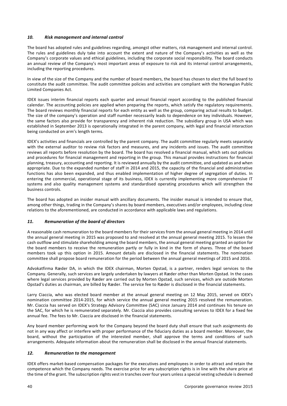# *10. Risk management and internal control*

The board has adopted rules and guidelines regarding, amongst other matters, risk management and internal control. The rules and guidelines duly take into account the extent and nature of the Company's activities as well as the Company's corporate values and ethical guidelines, including the corporate social responsibility. The board conducts an annual review of the Company's most important areas of exposure to risk and its internal control arrangements, including the reporting procedures.

In view of the size of the Company and the number of board members, the board has chosen to elect the full board to constitute the audit committee. The audit committee policies and activities are compliant with the Norwegian Public Limited Companies Act.

IDEX issues interim financial reports each quarter and annual financial report according to the published financial calendar. The accounting policies are applied when preparing the reports, which satisfy the regulatory requirements. The board reviews monthly financial reports for each entity as well as the group, comparing actual results to budget. The size of the company's operation and staff number necessarily leads to dependence on key individuals. However, the same factors also provide for transparency and inherent risk reduction. The subsidiary group in USA which was established in September 2013 is operationally integrated in the parent company, with legal and financial interaction being conducted on arm's length terms.

IDEX's activities and financials are controlled by the parent company. The audit committee regularly meets separately with the external auditor to review risk factors and measures, and any incidents and issues. The audit committee reviews all reports before resolution by the board. The board has resolved a financial manual, which sets out policies and procedures for financial management and reporting in the group. This manual provides instructions for financial planning, treasury, accounting and reporting. It is reviewed annually by the audit committee, and updated as and when appropriate. Due to the expanded number of staff in 2014 and 2015, the capacity of the financial and administrative functions has also been expanded, and thus enabled implementation of higher degree of segregation of duties. In entering the commercial, operational stage of its business, IDEX is currently implementing more comprehensive IT systems and also quality management systems and standardised operating procedures which will strengthen the business controls.

The board has adopted an insider manual with ancillary documents. The insider manual is intended to ensure that, among other things, trading in the Company's shares by board members, executives and/or employees, including close relations to the aforementioned, are conducted in accordance with applicable laws and regulations.

# *11. Remuneration of the board of directors*

A reasonable cash remuneration to the board members for their services from the annual general meeting in 2014 until the annual general meeting in 2015 was proposed to and resolved at the annual general meeting 2015. To lessen the cash outflow and stimulate shareholding among the board members, the annual general meeting granted an option for the board members to receive the remuneration partly or fully in kind in the form of shares. Three of the board members took up this option in 2015. Amount details are disclosed in the financial statements. The nomination committee shall propose board remuneration for the period between the annual general meetings of 2015 and 2016.

Advokatfirma Ræder DA, in which the IDEX chairman, Morten Opstad, is a partner, renders legal services to the Company. Generally, such services are largely undertaken by lawyers at Ræder other than Morten Opstad. In the cases where legal services provided by Ræder are carried out by Morten Opstad, such services, which are outside Morten Opstad's duties as chairman, are billed by Ræder. The service fee to Ræder is disclosed in the financial statements.

Larry Ciaccia, who was elected board member at the annual general meeting on 12 May 2015, served on IDEX's nomination committee 2014-2015, for which service the annual general meeting 2015 resolved the remuneration. Mr. Ciaccia has served on IDEX's Strategy Advisory Committee (SAC) since January 2014 and continues his tenure on the SAC, for which he is remunerated separately. Mr. Ciaccia also provides consulting services to IDEX for a fixed fee annual fee. The fees to Mr. Ciaccia are disclosed in the financial statements.

Any board member performing work for the Company beyond the board duty shall ensure that such assignments do not in any way affect or interfere with proper performance of the fiduciary duties as a board member. Moreover, the board, without the participation of the interested member, shall approve the terms and conditions of such arrangements. Adequate information about the remuneration shall be disclosed in the annual financial statements.

# *12. Remuneration to the management*

IDEX offers market-based compensation packages for the executives and employees in order to attract and retain the competence which the Company needs. The exercise price for any subscription rights is in line with the share price at the time of the grant. The subscription rights vest in tranches over four years unless a special vesting schedule is deemed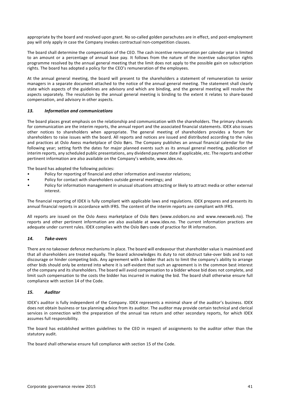appropriate by the board and resolved upon grant. No so-called golden parachutes are in effect, and post-employment pay will only apply in case the Company invokes contractual non-competition clauses.

The board shall determine the compensation of the CEO. The cash incentive remuneration per calendar year is limited to an amount or a percentage of annual base pay. It follows from the nature of the incentive subscription rights programme resolved by the annual general meeting that the limit does not apply to the possible gain on subscription rights. The board has adopted a policy for the CEO's remuneration of the employees.

At the annual general meeting, the board will present to the shareholders a statement of remuneration to senior managers in a separate document attached to the notice of the annual general meeting. The statement shall clearly state which aspects of the guidelines are advisory and which are binding, and the general meeting will resolve the aspects separately. The resolution by the annual general meeting is binding to the extent it relates to share-based compensation, and advisory in other aspects.

# *13. Information and communications*

The board places great emphasis on the relationship and communication with the shareholders. The primary channels for communication are the interim reports, the annual report and the associated financial statements. IDEX also issues other notices to shareholders when appropriate. The general meeting of shareholders provides a forum for shareholders to raise issues with the board. All reports and notices are issued and distributed according to the rules and practices at Oslo Axess marketplace of Oslo Børs. The Company publishes an annual financial calendar for the following year; setting forth the dates for major planned events such as its annual general meeting, publication of interim reports, any scheduled public presentations, any dividend payment date if applicable, etc. The reports and other pertinent information are also available on the Company's website, www.idex.no.

The board has adopted the following policies:

- Policy for reporting of financial and other information and investor relations;
- Policy for contact with shareholders outside general meetings; and
- Policy for information management in unusual situations attracting or likely to attract media or other external interest.

The financial reporting of IDEX is fully compliant with applicable laws and regulations. IDEX prepares and presents its annual financial reports in accordance with IFRS. The content of the interim reports are compliant with IFRS.

All reports are issued on the Oslo Axess marketplace of Oslo Børs (www.oslobors.no and www.newsweb.no). The reports and other pertinent information are also available at www.idex.no. The current information practices are adequate under current rules. IDEX complies with the Oslo Børs code of practice for IR information.

# *14. Take‐overs*

There are no takeover defence mechanisms in place. The board will endeavour that shareholder value is maximised and that all shareholders are treated equally. The board acknowledges its duty to not obstruct take-over bids and to not discourage or hinder competing bids. Any agreement with a bidder that acts to limit the company's ability to arrange other bids should only be entered into where it is self-evident that such an agreement is in the common best interest of the company and its shareholders. The board will avoid compensation to a bidder whose bid does not complete, and limit such compensation to the costs the bidder has incurred in making the bid. The board shall otherwise ensure full compliance with section 14 of the Code.

# *15. Auditor*

IDEX's auditor is fully independent of the Company. IDEX represents a minimal share of the auditor's business. IDEX does not obtain business or tax planning advice from its auditor. The auditor may provide certain technical and clerical services in connection with the preparation of the annual tax return and other secondary reports, for which IDEX assumes full responsibility.

The board has established written guidelines to the CEO in respect of assignments to the auditor other than the statutory audit.

The board shall otherwise ensure full compliance with section 15 of the Code.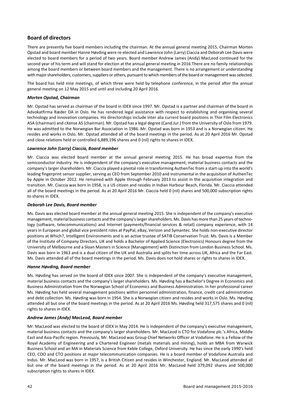# **Board of directors**

There are presently five board members including the chairman. At the annual general meeting 2015, Chairman Morten Opstad and board member Hanne Høvding were re-elected and Lawrence John (Larry) Ciaccia and Deborah Lee Davis were elected to board members for a period of two years. Board member Andrew James (Andy) MacLeod continued for the second year of his term and will stand for election at the annual general meeting in 2016.There are no family relationships among the board members or between board members and the management. There is no arrangement or understanding with major shareholders, customers, suppliers or others, pursuant to which members of the board or management was selected.

The board has held nine meetings, of which three were held by telephone conference, in the period after the annual general meeting on 12 May 2015 and until and including 20 April 2016.

# *Morten Opstad, Chairman*

Mr. Opstad has served as chairman of the board in IDEX since 1997. Mr. Opstad is a partner and chairman of the board in Advokatfirma Ræder DA in Oslo. He has rendered legal assistance with respect to establishing and organising several technology and innovation companies. His directorships include inter alia current board positions in Thin Film Electronics ASA (chairman) and cXense AS (chairman). Mr. Opstad has a legal degree (Cand.Jur.) from the University of Oslo from 1979. He was admitted to the Norwegian Bar Association in 1986. Mr. Opstad was born in 1953 and is a Norwegian citizen. He resides and works in Oslo. Mr. Opstad attended all of the board meetings in the period. As at 20 April 2016 Mr. Opstad and close relations held or controlled 6,889,196 shares and 0 (nil) rights to shares in IDEX.

# *Lawrence John (Larry) Ciaccia, Board member*

Mr. Ciaccia was elected board member at the annual general meeting 2015. He has broad expertise from the semiconductor industry. He is independent of the company's executive management, material business contacts and the company's larger shareholders. Mr. Ciaccia played a pivotal role in transforming AuthenTec from a start-up into the world's leading fingerprint sensor supplier, serving as CEO from September 2010 and instrumental in the acquisition of AuthenTec by Apple in October 2012. He remained with Apple through February 2013 to assist in the acquisition integration and transition. Mr. Ciaccia was born in 1958, is a US citizen and resides in Indian Harbour Beach, Florida. Mr. Ciaccia attended all of the board meetings in the period. As at 20 April 2016 Mr. Ciaccia held 0 (nil) shares and 500,000 subscription rights to shares in IDEX.

# *Deborah Lee Davis, Board member*

Ms. Davis was elected board member at the annual general meeting 2015. She is independent of the company's executive management, material business contacts and the company's larger shareholders. Ms. Davis has more than 25 years of technology (software, telecommunications) and Internet (payments/financial services & retail) company experience, with 14 years in European and global vice president roles at PayPal, eBay, Verizon and Symantec. She holds non-executive director positions at Which?, Intelligent Environments and is an active trustee of SATIB Conservation Trust. Ms. Davis is a Member of the Institute of Company Directors, UK and holds a Bachelor of Applied Science (Electronics) Honours degree from the University of Melbourne and a Sloan Masters in Science (Management) with Distinction from London Business School. Ms. Davis was born in 1963 and is a dual citizen of the UK and Australia and splits her time across UK, Africa and the Far East. Ms. Davis attended all of the board meetings in the period. Ms. Davis does not hold shares or rights to shares in IDEX.

# *Hanne Høvding, Board member*

Ms. Høvding has served on the board of IDEX since 2007. She is independent of the company's executive management, material business contacts and the company's larger shareholders. Ms. Høvding has a Bachelor's Degree in Economics and Business Administration from the Norwegian School of Economics and Business Administration. In her professional career Ms. Høvding has held several management positions within personnel administration, finance, credit card administration and debt collection. Ms. Høvding was born in 1954. She is a Norwegian citizen and resides and works in Oslo. Ms. Høvding attended all but one of the board meetings in the period. As at 20 April 2016 Ms. Høvding held 317,575 shares and 0 (nil) rights to shares in IDEX.

# *Andrew James (Andy) MacLeod, Board member*

Mr. MacLeod was elected to the board of IDEX in May 2014. He is independent of the company's executive management, material business contacts and the company's larger shareholders. Mr. MacLeod is CTO for Vodafone plc.'s Africa, Middle East and Asia-Pacific region. Previously, Mr. MacLeod was Group Chief Networks Officer at Vodafone. He is a Fellow of the Royal Academy of Engineering and a Chartered Engineer (metals materials and mining), holds an MBA from Warwick Business School and an MA in Materials Science from Keble College, Oxford University. He has since the early 1990's held CEO, COO and CTO positions at major telecommunication companies. He is a board member of Vodafone Australia and Indus. Mr. MacLeod was born in 1957, is a British Citizen and resides in Winchester, England. Mr. MacLeod attended all but one of the board meetings in the period. As at 20 April 2016 Mr. MacLeod held 379,092 shares and 500,000 subscription rights to shares in IDEX.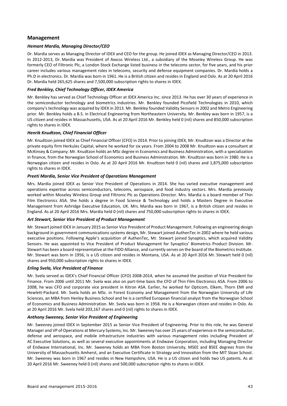# **Management**

# *Hemant Mardia, Managing Director/CEO*

Dr. Mardia serves as Managing Director of IDEX and CEO for the group. He joined IDEX as Managing Director/CEO in 2013. In 2012-2013, Dr. Mardia was President of Axxcss Wireless Ltd., a subsidiary of the Moseley Wireless Group. He was formerly CEO of Filtronic Plc, a London Stock Exchange listed business in the telecoms sector, for five years, and his prior career includes various management roles in telecoms, security and defense equipment companies. Dr. Mardia holds a Ph.D in electronics. Dr. Mardia was born in 1961. He is a British citizen and resides in England and Oslo. As at 20 April 2016 Dr. Mardia held 265,625 shares and 7,500,000 subscription rights to shares in IDEX.

# *Fred Benkley, Chief Technology Officer, IDEX America*

Mr. Benkley has served as Chief Technology Officer at IDEX America Inc. since 2013. He has over 30 years of experience in the semiconductor technology and biometrics industries. Mr. Benkley founded Picofield Technologies in 2010, which company's technology was acquired by IDEX in 2013. Mr. Benkley founded Validity Sensors in 2002 and Metro Engineering prior. Mr. Benkley holds a B.S. in Electrical Engineering from Northeastern University. Mr. Benkley was born in 1957, is a US citizen and resides in Massachusetts, USA. As at 20 April 2016 Mr. Benkley held 0 (nil) shares and 850,000 subscription rights to shares in IDEX.

# *Henrik Knudtzon, Chief Financial Officer*

Mr. Knudtzon joined IDEX as Chief Financial Officer (CFO) in 2014. Prior to joining IDEX, Mr. Knudtzon was a Director at the private equity firm Herkules Capital, where he worked for six years. From 2004 to 2008 Mr. Knudtzon was a consultant at McKinsey & Company. Mr. Knudtzon holds an MSc degree in Economics and Business Administration, with a specialization in finance, from the Norwegian School of Economics and Business Administration. Mr. Knudtzon was born in 1980. He is a Norwegian citizen and resides in Oslo. As at 20 April 2016 Mr. Knudtzon held 0 (nil) shares and 1,875,000 subscription rights to shares in IDEX.

# *Preeti Mardia, Senior Vice President of Operations Management*

Mrs. Mardia joined IDEX as Senior Vice President of Operations in 2014. She has varied executive management and operations expertise across semiconductors, telecoms, aerospace, and food industry sectors. Mrs. Mardia previously worked within Moseley Wireless Group and Filtronic Plc as Operations Director. Mrs. Mardia is a board member of Thin Film Electronics ASA. She holds a degree in Food Science & Technology and holds a Masters Degree in Executive Management from Ashridge Executive Education, UK. Mrs. Mardia was born in 1967, is a British citizen and resides in England. As at 20 April 2016 Mrs. Mardia held 0 (nil) shares and 750,000 subscription rights to shares in IDEX.

# *Art Stewart, Senior Vice President of Product Management*

Mr. Stewart joined IDEX in January 2015 as Senior Vice President of Product Management. Following an engineering design background in government communications systems design, Mr. Stewart joined AuthenTec in 2002 where he held various executive positions. Following Apple's acquisition of AuthenTec, Mr. Stewart joined Synaptics, which acquired Validity Sensors. He was appointed to Vice President of Product Management for Synaptics' Biometrics Product Division. Mr. Stewart has been a board representative at the FIDO Alliance, and currently serves on the board of the Biometrics Institute. Mr. Stewart was born in 1956, is a US citizen and resides in Montana, USA. As at 20 April 2016 Mr. Stewart held 0 (nil) shares and 950,000 subscription rights to shares in IDEX.

# *Erling Svela, Vice President of Finance*

Mr. Svela served as IDEX's Chief Financial Officer (CFO) 2008-2014, when he assumed the position of Vice President for Finance. From 2006 until 2011 Mr. Svela was also on part-time basis the CFO of Thin Film Electronics ASA. From 2006 to 2008, he was CFO and corporate vice president in Kitron ASA. Earlier, he worked for Opticom, Elkem, Thorn EMI and Hewlett-Packard. Mr. Svela holds an MSc. in Forest Economy and Management from the Norwegian University of Life Sciences, an MBA from Henley Business School and he is a certified European financial analyst from the Norwegian School of Economics and Business Administration. Mr. Svela was born in 1958. He is a Norwegian citizen and resides in Oslo. As at 20 April 2016 Mr. Svela held 203,167 shares and 0 (nil) rights to shares in IDEX.

# *Anthony Sweeney, Senior Vice President of Engineering*

Mr. Sweeney joined IDEX in September 2015 as Senior Vice President of Engineering. Prior to this role, he was General Manager and VP of Operations at Mercury Systems, Inc. Mr. Sweeney has over 25 years of experience in the semiconductor, defense and aerospace, and mobile infrastructure industries with various management roles including President of AC Executive Solutions, as well as several executive appointments at Endwave Corporation, including Managing Director of Endwave International, Inc. Mr. Sweeney holds an MBA from Boston University, MSEE and BSEE degrees from the University of Massachusetts Amherst, and an Executive Certificate in Strategy and Innovation from the MIT Sloan School. Mr. Sweeney was born in 1967 and resides in New Hampshire, USA. He is a US citizen and holds two US patents. As at 20 April 2016 Mr. Sweeney held 0 (nil) shares and 500,000 subscription rights to shares in IDEX.